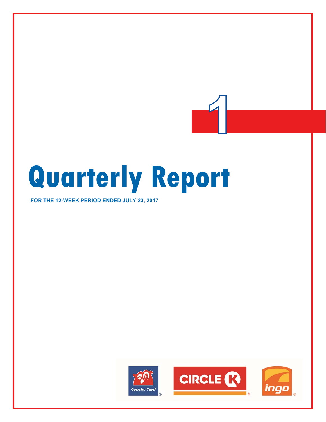# **Quarterly Report**

**FOR THE 12-WEEK PERIOD ENDED JULY 23, 2017** 

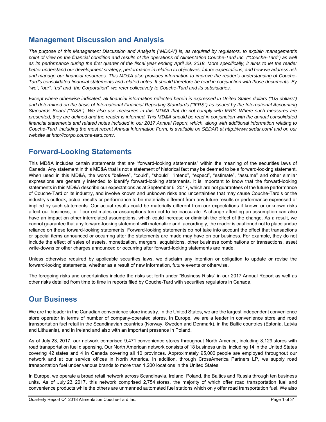## **Management Discussion and Analysis**

*The purpose of this Management Discussion and Analysis ("MD&A") is, as required by regulators, to explain management's point of view on the financial condition and results of the operations of Alimentation Couche-Tard Inc. ("Couche-Tard") as well* as its performance during the first quarter of the fiscal year ending April 29, 2018. More specifically, it aims to let the reader *better understand our development strategy, performance in relation to objectives, future expectations, and how we address risk and manage our financial resources. This MD&A also provides information to improve the reader's understanding of Couche-Tard's consolidated financial statements and related notes. It should therefore be read in conjunction with those documents. By "we", "our", "us" and "the Corporation", we refer collectively to Couche-Tard and its subsidiaries.* 

*Except where otherwise indicated, all financial information reflected herein is expressed in United States dollars ("US dollars") and determined on the basis of International Financial Reporting Standards ("IFRS") as issued by the International Accounting Standards Board ("IASB"). We also use measures in this MD&A that do not comply with IFRS. Where such measures are presented, they are defined and the reader is informed. This MD&A should be read in conjunction with the annual consolidated financial statements and related notes included in our 2017 Annual Report, which, along with additional information relating to Couche-Tard, including the most recent Annual Information Form, is available on SEDAR at http://www.sedar.com/ and on our website at http://corpo.couche-tard.com/.* 

## **Forward-Looking Statements**

This MD&A includes certain statements that are "forward-looking statements" within the meaning of the securities laws of Canada. Any statement in this MD&A that is not a statement of historical fact may be deemed to be a forward-looking statement. When used in this MD&A, the words "believe", "could", "should", "intend", "expect", "estimate", "assume" and other similar expressions are generally intended to identify forward-looking statements. It is important to know that the forward-looking statements in this MD&A describe our expectations as at September 6, 2017, which are not guarantees of the future performance of Couche-Tard or its industry, and involve known and unknown risks and uncertainties that may cause Couche-Tard's or the industry's outlook, actual results or performance to be materially different from any future results or performance expressed or implied by such statements. Our actual results could be materially different from our expectations if known or unknown risks affect our business, or if our estimates or assumptions turn out to be inaccurate. A change affecting an assumption can also have an impact on other interrelated assumptions, which could increase or diminish the effect of the change. As a result, we cannot guarantee that any forward-looking statement will materialize and, accordingly, the reader is cautioned not to place undue reliance on these forward-looking statements. Forward-looking statements do not take into account the effect that transactions or special items announced or occurring after the statements are made may have on our business. For example, they do not include the effect of sales of assets, monetization, mergers, acquisitions, other business combinations or transactions, asset write-downs or other charges announced or occurring after forward-looking statements are made.

Unless otherwise required by applicable securities laws, we disclaim any intention or obligation to update or revise the forward-looking statements, whether as a result of new information, future events or otherwise.

The foregoing risks and uncertainties include the risks set forth under "Business Risks" in our 2017 Annual Report as well as other risks detailed from time to time in reports filed by Couche-Tard with securities regulators in Canada.

## **Our Business**

We are the leader in the Canadian convenience store industry. In the United States, we are the largest independent convenience store operator in terms of number of company-operated stores. In Europe, we are a leader in convenience store and road transportation fuel retail in the Scandinavian countries (Norway, Sweden and Denmark), in the Baltic countries (Estonia, Latvia and Lithuania), and in Ireland and also with an important presence in Poland.

As of July 23, 2017, our network comprised 9,471 convenience stores throughout North America, including 8,129 stores with road transportation fuel dispensing. Our North American network consists of 18 business units, including 14 in the United States covering 42 states and 4 in Canada covering all 10 provinces. Approximately 95,000 people are employed throughout our network and at our service offices in North America. In addition, through CrossAmerica Partners LP, we supply road transportation fuel under various brands to more than 1,200 locations in the United States.

In Europe, we operate a broad retail network across Scandinavia, Ireland, Poland, the Baltics and Russia through ten business units. As of July 23, 2017, this network comprised 2,754 stores, the majority of which offer road transportation fuel and convenience products while the others are unmanned automated fuel stations which only offer road transportation fuel. We also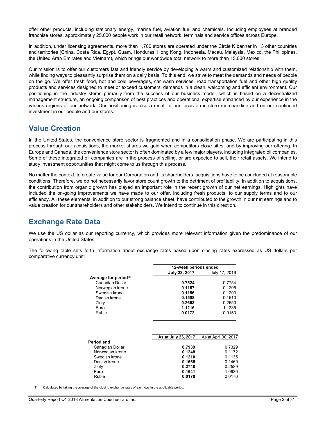offer other products, including stationary energy, marine fuel, aviation fuel and chemicals. Including employees at branded franchise stores, approximately 25,000 people work in our retail network, terminals and service offices across Europe.

In addition, under licensing agreements, more than 1,700 stores are operated under the Circle K banner in 13 other countries and territories (China, Costa Rica, Egypt, Guam, Honduras, Hong Kong, Indonesia, Macau, Malaysia, Mexico, the Philippines, the United Arab Emirates and Vietnam), which brings our worldwide total network to more than 15,000 stores.

Our mission is to offer our customers fast and friendly service by developing a warm and customized relationship with them, while finding ways to pleasantly surprise them on a daily basis. To this end, we strive to meet the demands and needs of people on the go. We offer fresh food, hot and cold beverages, car wash services, road transportation fuel and other high quality products and services designed to meet or exceed customers' demands in a clean, welcoming and efficient environment. Our positioning in the industry stems primarily from the success of our business model, which is based on a decentralized management structure, an ongoing comparison of best practices and operational expertise enhanced by our experience in the various regions of our network. Our positioning is also a result of our focus on in-store merchandise and on our continued investment in our people and our stores.

## **Value Creation**

In the United States, the convenience store sector is fragmented and in a consolidation phase. We are participating in this process through our acquisitions, the market shares we gain when competitors close sites, and by improving our offering. In Europe and Canada, the convenience store sector is often dominated by a few major players, including integrated oil companies. Some of these integrated oil companies are in the process of selling, or are expected to sell, their retail assets. We intend to study investment opportunities that might come to us through this process.

No matter the context, to create value for our Corporation and its shareholders, acquisitions have to be concluded at reasonable conditions. Therefore, we do not necessarily favor store count growth to the detriment of profitability. In addition to acquisitions, the contribution from organic growth has played an important role in the recent growth of our net earnings. Highlights have included the on-going improvements we have made to our offer, including fresh products, to our supply terms and to our efficiency. All these elements, in addition to our strong balance sheet, have contributed to the growth in our net earnings and to value creation for our shareholders and other stakeholders. We intend to continue in this direction.

## **Exchange Rate Data**

We use the US dollar as our reporting currency, which provides more relevant information given the predominance of our operations in the United States.

The following table sets forth information about exchange rates based upon closing rates expressed as US dollars per comparative currency unit:

|                                   | 12-week periods ended |               |  |
|-----------------------------------|-----------------------|---------------|--|
|                                   | July 23, 2017         | July 17, 2016 |  |
| Average for period <sup>(1)</sup> |                       |               |  |
| Canadian Dollar                   | 0.7524                | 0.7754        |  |
| Norwegian krone                   | 0.1187                | 0.1205        |  |
| Swedish krone                     | 0.1156                | 0.1203        |  |
| Danish krone                      | 0.1508                | 0.1510        |  |
| Zloty                             | 0.2663                | 0.2550        |  |
| Euro                              | 1.1216                | 1.1235        |  |
| Ruble                             | 0.0172                | 0.0153        |  |
|                                   |                       |               |  |

|                 | As at July 23, 2017 | As at April 30, 2017 |
|-----------------|---------------------|----------------------|
| Period end      |                     |                      |
| Canadian Dollar | 0.7939              | 0.7329               |
| Norwegian krone | 0.1248              | 0.1172               |
| Swedish krone   | 0.1210              | 0.1135               |
| Danish krone    | 0.1565              | 0.1469               |
| Zloty           | 0.2748              | 0.2589               |
| Euro            | 0.1641              | 1.0930               |
| Ruble           | 0.0170              | 0.0176               |
|                 |                     |                      |

(1) Calculated by taking the average of the closing exchange rates of each day in the applicable period.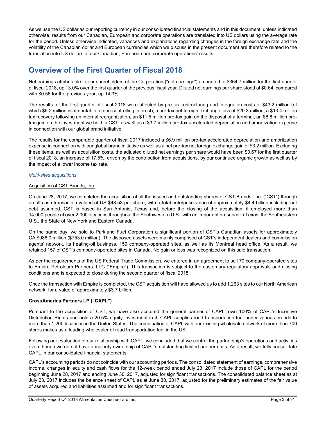As we use the US dollar as our reporting currency in our consolidated financial statements and in this document, unless indicated otherwise, results from our Canadian, European and corporate operations are translated into US dollars using the average rate for the period. Unless otherwise indicated, variances and explanations regarding changes in the foreign exchange rate and the volatility of the Canadian dollar and European currencies which we discuss in the present document are therefore related to the translation into US dollars of our Canadian, European and corporate operations' results.

## **Overview of the First Quarter of Fiscal 2018**

Net earnings attributable to our shareholders of the Corporation ("net earnings") amounted to \$364.7 million for the first quarter of fiscal 2018, up 13.0% over the first quarter of the previous fiscal year. Diluted net earnings per share stood at \$0.64, compared with \$0.56 for the previous year, up 14.3%.

The results for the first quarter of fiscal 2018 were affected by pre-tax restructuring and integration costs of \$43.2 million (of which \$5.2 million is attributable to non-controlling interest), a pre-tax net foreign exchange loss of \$20.3 million, a \$13.4 million tax recovery following an internal reorganization, an \$11.5 million pre-tax gain on the disposal of a terminal, an \$8.8 million pretax gain on the investment we held in CST, as well as a \$3.7 million pre-tax accelerated depreciation and amortization expense in connection with our global brand initiative.

The results for the comparable quarter of fiscal 2017 included a \$6.9 million pre-tax accelerated depreciation and amortization expense in connection with our global brand initiative as well as a net pre-tax net foreign exchange gain of \$3.2 million. Excluding these items, as well as acquisition costs, the adjusted diluted net earnings per share would have been \$0.67 for the first quarter of fiscal 2018, an increase of 17.5%, driven by the contribution from acquisitions, by our continued organic growth as well as by the impact of a lower income tax rate.

#### *Multi-sites acquisitions*

#### Acquisition of CST Brands, Inc.

On June 28, 2017, we completed the acquisition of all the issued and outstanding shares of CST Brands, Inc. ("CST") through an all-cash transaction valued at US \$48.53 per share, with a total enterprise value of approximately \$4.4 billion including net debt assumed. CST is based in San Antonio, Texas and, before the closing of the acquisition, it employed more than 14,000 people at over 2,000 locations throughout the Southwestern U.S., with an important presence in Texas, the Southeastern U.S., the State of New York and Eastern Canada.

On the same day, we sold to Parkland Fuel Corporation a significant portion of CST's Canadian assets for approximately CA \$986.0 million (\$753.0 million). The disposed assets were mainly comprised of CST's independent dealers and commission agents' network, its heating-oil business, 159 company-operated sites, as well as its Montreal head office. As a result, we retained 157 of CST's company-operated sites in Canada. No gain or loss was recognized on this sale transaction.

As per the requirements of the US Federal Trade Commission, we entered in an agreement to sell 70 company-operated sites to Empire Petroleum Partners, LLC ("Empire"). This transaction is subject to the customary regulatory approvals and closing conditions and is expected to close during the second quarter of fiscal 2018.

Once the transaction with Empire is completed, the CST acquisition will have allowed us to add 1,263 sites to our North American network, for a value of approximately \$3.7 billion.

#### **CrossAmerica Partners LP ("CAPL")**

Pursuant to the acquisition of CST, we have also acquired the general partner of CAPL, own 100% of CAPL's Incentive Distribution Rights and hold a 20.5% equity investment in it. CAPL supplies road transportation fuel under various brands to more than 1,200 locations in the United States. The combination of CAPL with our existing wholesale network of more than 700 stores makes us a leading wholesaler of road transportation fuel in the US.

Following our evaluation of our relationship with CAPL, we concluded that we control the partnership's operations and activities even though we do not have a majority ownership of CAPL's outstanding limited partner units. As a result, we fully consolidate CAPL in our consolidated financial statements.

CAPL's accounting periods do not coincide with our accounting periods. The consolidated statement of earnings, comprehensive income, changes in equity and cash flows for the 12-week period ended July 23, 2017 include those of CAPL for the period beginning June 28, 2017 and ending June 30, 2017, adjusted for significant transactions. The consolidated balance sheet as at July 23, 2017 includes the balance sheet of CAPL as at June 30, 2017, adjusted for the preliminary estimates of the fair value of assets acquired and liabilities assumed and for significant transactions.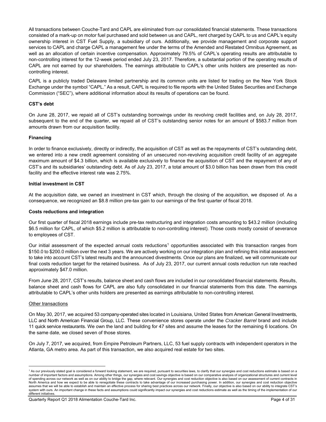All transactions between Couche-Tard and CAPL are eliminated from our consolidated financial statements. These transactions consisted of a mark-up on motor fuel purchased and sold between us and CAPL, rent charged by CAPL to us and CAPL's equity ownership interest in CST Fuel Supply, a subsidiary of ours. Additionally, we provide management and corporate support services to CAPL and charge CAPL a management fee under the terms of the Amended and Restated Omnibus Agreement, as well as an allocation of certain incentive compensation. Approximately 79.5% of CAPL's operating results are attributable to non-controlling interest for the 12-week period ended July 23, 2017. Therefore, a substantial portion of the operating results of CAPL are not earned by our shareholders. The earnings attributable to CAPL's other units holders are presented as noncontrolling interest.

CAPL is a publicly traded Delaware limited partnership and its common units are listed for trading on the New York Stock Exchange under the symbol "CAPL." As a result, CAPL is required to file reports with the United States Securities and Exchange Commission ("SEC"), where additional information about its results of operations can be found.

#### **CST's debt**

On June 28, 2017, we repaid all of CST's outstanding borrowings under its revolving credit facilities and, on July 28, 2017, subsequent to the end of the quarter, we repaid all of CST's outstanding senior notes for an amount of \$583.7 million from amounts drawn from our acquisition facility.

#### **Financing**

In order to finance exclusively, directly or indirectly, the acquisition of CST as well as the repayments of CST's outstanding debt, we entered into a new credit agreement consisting of an unsecured non-revolving acquisition credit facility of an aggregate maximum amount of \$4.3 billion, which is available exclusively to finance the acquisition of CST and the repayment of any of CST's and its subsidiaries' outstanding debt. As of July 23, 2017, a total amount of \$3.0 billion has been drawn from this credit facility and the effective interest rate was 2.75%.

#### **Initial investment in CST**

At the acquisition date, we owned an investment in CST which, through the closing of the acquisition, we disposed of. As a consequence, we recognized an \$8.8 million pre-tax gain to our earnings of the first quarter of fiscal 2018.

#### **Costs reductions and integration**

Our first quarter of fiscal 2018 earnings include pre-tax restructuring and integration costs amounting to \$43.2 million (including \$6.5 million for CAPL, of which \$5.2 million is attributable to non-controlling interest). Those costs mostly consist of severance to employees of CST.

Our initial assessment of the expected annual costs reductions<sup>1</sup> opportunities associated with this transaction ranges from \$150.0 to \$200.0 million over the next 3 years. We are actively working on our integration plan and refining this initial assessment to take into account CST's latest results and the announced divestments. Once our plans are finalized, we will communicate our final costs reduction target for the retained business. As of July 23, 2017, our current annual costs reduction run rate reached approximately \$47.0 million.

From June 28, 2017, CST's results, balance sheet and cash flows are included in our consolidated financial statements. Results, balance sheet and cash flows for CAPL are also fully consolidated in our financial statements from this date. The earnings attributable to CAPL's other units holders are presented as earnings attributable to non-controlling interest.

#### Other transactions

 $\overline{a}$ 

On May 30, 2017, we acquired 53 company-operated sites located in Louisiana, United States from American General Investments, LLC and North American Financial Group, LLC. These convenience stores operate under the *Cracker Barrel* brand and include 11 quick service restaurants. We own the land and building for 47 sites and assume the leases for the remaining 6 locations. On the same date, we closed seven of those stores.

On July 7, 2017, we acquired, from Empire Petroleum Partners, LLC, 53 fuel supply contracts with independent operators in the Atlanta, GA metro area. As part of this transaction, we also acquired real estate for two sites.

<sup>&</sup>lt;sup>1</sup> As our previously stated goal is considered a forward looking statement, we are required, pursuant to securities laws, to clarify that our synergies and cost reductions estimate is based on a number of important factors and assumptions. Among other things, our synergies and cost savings objective is based on our comparative analysis of organizational structures and current level of spending across our network as well as on our ability to bridge the gap, where relevant. Our synergies and cost reduction objective is also based on our assessment of current contracts in North America and how we expect to be able to renegotiate these contracts to take advantage of our increased purchasing power. In addition, our synergies and cost reduction objective assumes that we will be able to establish and maintain an effective process for sharing best practices across our network. Finally, our objective is also based on our ability to integrate CST's system with ours. An important change in these facts and assumptions could significantly impact our synergies and cost reductions estimate as well as the timing of the implementation of our different initiatives.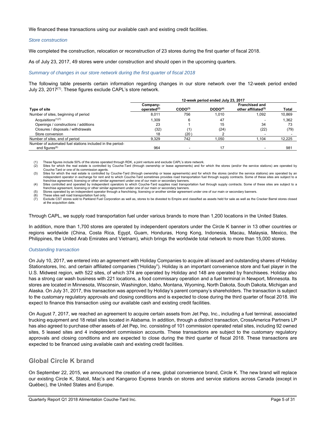We financed these transactions using our available cash and existing credit facilities.

#### *Store construction*

We completed the construction, relocation or reconstruction of 23 stores during the first quarter of fiscal 2018.

As of July 23, 2017, 49 stores were under construction and should open in the upcoming quarters.

#### *Summary of changes in our store network during the first quarter of fiscal 2018*

The following table presents certain information regarding changes in our store network over the 12-week period ended July 23, 2017<sup>(1)</sup>. These figures exclude CAPL's store network.

|                                                                                         | 12-week period ended July 23, 2017 |                     |                     |                                                          |        |  |
|-----------------------------------------------------------------------------------------|------------------------------------|---------------------|---------------------|----------------------------------------------------------|--------|--|
| Type of site                                                                            | Company-<br>operated $(2)$         | CODO <sup>(3)</sup> | DODO <sup>(4)</sup> | <b>Franchised and</b><br>other affiliated <sup>(5)</sup> | Total  |  |
| Number of sites, beginning of period                                                    | 8,011                              | 756                 | 1.010               | 1.092                                                    | 10,869 |  |
| Acquisitions $(1)(7)$                                                                   | 1.309                              | 6                   | 47                  |                                                          | 1.362  |  |
| Openings / constructions / additions                                                    | 23                                 |                     | 15                  | 34                                                       | 73     |  |
| Closures / disposals / withdrawals                                                      | (32)                               | (1)                 | (24)                | (22)                                                     | (79)   |  |
| Store conversion                                                                        | 18                                 | (20)                |                     |                                                          |        |  |
| Number of sites, end of period                                                          | 9.329                              | 742                 | 1.050               | 1.104                                                    | 12,225 |  |
| Number of automated fuel stations included in the period-<br>end figures <sup>(6)</sup> | 964                                |                     | 17                  |                                                          | 981    |  |

(1) These figures include 50% of the stores operated through RDK, a joint venture and exclude CAPL's store network.<br>(2) Sites for which the real estate is controlled by Couche-Tard (through ownership or lease agreements) a

Sites for which the real estate is controlled by Couche-Tard (through ownership or lease agreements) and for which the stores (and/or the service stations) are operated by Couche-Tard or one of its commission agents.

(3) Sites for which the real estate is controlled by Couche-Tard (through ownership or lease agreements) and for which the stores (and/or the service stations) are operated by an independent operator in exchange for rent and to which Couche-Tard sometimes provides road transportation fuel through supply contracts. Some of these sites are subject to a franchise agreement, licensing or other similar agreement under one of our main or secondary banners.<br>(4) Sites controlled and operated by independent operators to which Couche-Tard supplies road transportation fuel throug

franchise agreement, licensing or other similar agreement under one of our main or secondary banners.

Stores operated by an independent operator through a franchising, licensing or another similar agreement under one of our main or secondary banners.

These sites sell road transportation fuel only.

Exclude CST stores sold to Parkland Fuel Corporation as well as, stores to be divested to Empire and classified as assets held for sale as well as the Cracker Barrel stores closed at the acquisition date.

Through CAPL, we supply road transportation fuel under various brands to more than 1,200 locations in the United States.

In addition, more than 1,700 stores are operated by independent operators under the Circle K banner in 13 other countries or regions worldwide (China, Costa Rica, Egypt, Guam, Honduras, Hong Kong, Indonesia, Macau, Malaysia, Mexico, the Philippines, the United Arab Emirates and Vietnam), which brings the worldwide total network to more than 15,000 stores.

#### *Outstanding transaction*

On July 10, 2017, we entered into an agreement with Holiday Companies to acquire all issued and outstanding shares of Holiday Stationstores, Inc. and certain affiliated companies ("Holiday"). Holiday is an important convenience store and fuel player in the U.S. Midwest region, with 522 sites, of which 374 are operated by Holiday and 148 are operated by franchisees. Holiday also has a strong car wash business with 221 locations, a food commissary operation and a fuel terminal in Newport, Minnesota. Its stores are located in Minnesota, Wisconsin, Washington, Idaho, Montana, Wyoming, North Dakota, South Dakota, Michigan and Alaska. On July 31, 2017, this transaction was approved by Holiday's parent company's shareholders. The transaction is subject to the customary regulatory approvals and closing conditions and is expected to close during the third quarter of fiscal 2018. We expect to finance this transaction using our available cash and existing credit facilities.

On August 7, 2017, we reached an agreement to acquire certain assets from Jet Pep, Inc., including a fuel terminal, associated trucking equipment and 18 retail sites located in Alabama. In addition, through a distinct transaction, CrossAmerica Partners LP has also agreed to purchase other assets of Jet Pep, Inc. consisting of 101 commission operated retail sites, including 92 owned sites, 5 leased sites and 4 independent commission accounts. These transactions are subject to the customary regulatory approvals and closing conditions and are expected to close during the third quarter of fiscal 2018. These transactions are expected to be financed using available cash and existing credit facilities.

#### **Global Circle K brand**

On September 22, 2015, we announced the creation of a new, global convenience brand, Circle K. The new brand will replace our existing Circle K, Statoil, Mac's and Kangaroo Express brands on stores and service stations across Canada (except in Québec), the United States and Europe.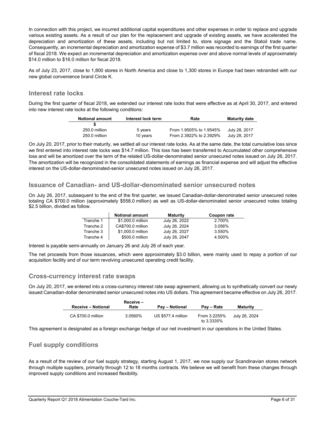In connection with this project, we incurred additional capital expenditures and other expenses in order to replace and upgrade various existing assets. As a result of our plan for the replacement and upgrade of existing assets, we have accelerated the depreciation and amortization of these assets, including but not limited to, store signage and the Statoil trade name. Consequently, an incremental depreciation and amortization expense of \$3.7 million was recorded to earnings of the first quarter of fiscal 2018. We expect an incremental depreciation and amortization expense over and above normal levels of approximately \$14.0 million to \$16.0 million for fiscal 2018.

As of July 23, 2017, close to 1,800 stores in North America and close to 1,300 stores in Europe had been rebranded with our new global convenience brand Circle K.

#### **Interest rate locks**

During the first quarter of fiscal 2018, we extended our interest rate locks that were effective as at April 30, 2017, and entered into new interest rate locks at the following conditions:

| <b>Notional amount</b> | Interest lock term | Rate                    | <b>Maturity date</b> |
|------------------------|--------------------|-------------------------|----------------------|
|                        |                    |                         |                      |
| 250.0 million          | 5 years            | From 1.9505% to 1.9545% | July 28, 2017        |
| 250.0 million          | 10 years           | From 2.3922% to 2.3929% | July 28, 2017        |

On July 20, 2017, prior to their maturity, we settled all our interest rate locks. As at the same date, the total cumulative loss since we first entered into interest rate locks was \$14.7 million. This loss has been transferred to Accumulated other comprehensive loss and will be amortized over the term of the related US-dollar-denominated senior unsecured notes issued on July 26, 2017. The amortization will be recognized in the consolidated statements of earnings as financial expense and will adjust the effective interest on the US-dollar-denominated-senior unsecured notes issued on July 26, 2017.

#### **Issuance of Canadian- and US-dollar-denominated senior unsecured notes**

On July 26, 2017, subsequent to the end of the first quarter, we issued Canadian-dollar-denominated senior unsecured notes totaling CA \$700.0 million (approximately \$558.0 million) as well as US-dollar-denominated senior unsecured notes totaling \$2.5 billion, divided as follow.

|           | <b>Notional amount</b> | <b>Maturity</b> | Coupon rate |
|-----------|------------------------|-----------------|-------------|
| Tranche 1 | \$1,000.0 million      | July 26, 2022   | 2.700%      |
| Tranche 2 | CA\$700.0 million      | July 26, 2024   | 3.056%      |
| Tranche 3 | \$1,000.0 million      | July 26, 2027   | 3.550%      |
| Tranche 4 | \$500.0 million        | July 26, 2047   | 4.500%      |

Interest is payable semi-annually on January 26 and July 26 of each year.

The net proceeds from those issuances, which were approximately \$3.0 billion, were mainly used to repay a portion of our acquisition facility and of our term revolving unsecured operating credit facility.

#### **Cross-currency interest rate swaps**

On July 20, 2017, we entered into a cross-currency interest rate swap agreement, allowing us to synthetically convert our newly issued Canadian-dollar denominated senior unsecured notes into US dollars. This agreement became effective on July 26, 2017.

| <b>Receive - Notional</b> | Receive -<br>Rate | <b>Pay – Notional</b> | Pay – Rate                    | <b>Maturity</b> |
|---------------------------|-------------------|-----------------------|-------------------------------|-----------------|
|                           |                   |                       |                               |                 |
| CA \$700.0 million        | 3.0560%           | US \$577.4 million    | From 3.2255%<br>to $3.3335\%$ | July 26, 2024   |

This agreement is designated as a foreign exchange hedge of our net investment in our operations in the United States.

#### **Fuel supply conditions**

As a result of the review of our fuel supply strategy, starting August 1, 2017, we now supply our Scandinavian stores network through multiple suppliers, primarily through 12 to 18 months contracts. We believe we will benefit from these changes through improved supply conditions and increased flexibility.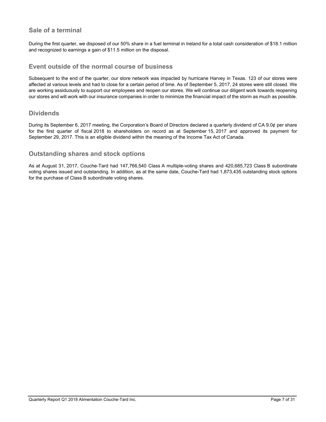## **Sale of a terminal**

During the first quarter, we disposed of our 50% share in a fuel terminal in Ireland for a total cash consideration of \$18.1 million and recognized to earnings a gain of \$11.5 million on the disposal.

#### **Event outside of the normal course of business**

Subsequent to the end of the quarter, our store network was impacted by hurricane Harvey in Texas. 123 of our stores were affected at various levels and had to close for a certain period of time. As of September 5, 2017, 24 stores were still closed. We are working assiduously to support our employees and reopen our stores. We will continue our diligent work towards reopening our stores and will work with our insurance companies in order to minimize the financial impact of the storm as much as possible.

#### **Dividends**

During its September 6, 2017 meeting, the Corporation's Board of Directors declared a quarterly dividend of CA 9.0¢ per share for the first quarter of fiscal 2018 to shareholders on record as at September 15, 2017 and approved its payment for September 29, 2017. This is an eligible dividend within the meaning of the Income Tax Act of Canada.

#### **Outstanding shares and stock options**

As at August 31, 2017, Couche-Tard had 147,766,540 Class A multiple-voting shares and 420,685,723 Class B subordinate voting shares issued and outstanding. In addition, as at the same date, Couche-Tard had 1,873,435 outstanding stock options for the purchase of Class B subordinate voting shares.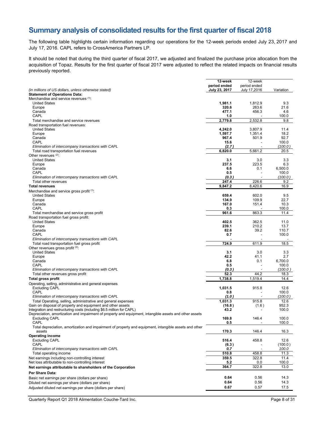## **Summary analysis of consolidated results for the first quarter of fiscal 2018**

The following table highlights certain information regarding our operations for the 12-week periods ended July 23, 2017 and July 17, 2016. CAPL refers to CrossAmerica Partners LP.

It should be noted that during the third quarter of fiscal 2017, we adjusted and finalized the purchase price allocation from the acquisition of Topaz. Results for the first quarter of fiscal 2017 were adjusted to reflect the related impacts on financial results previously reported.

|                                                                                                                                                                                   | 12-week                       | 12-week                      |                  |
|-----------------------------------------------------------------------------------------------------------------------------------------------------------------------------------|-------------------------------|------------------------------|------------------|
| (in millions of US dollars, unless otherwise stated)                                                                                                                              | period ended<br>July 23, 2017 | period ended<br>July 17,2016 | Variation        |
| <b>Statement of Operations Data:</b>                                                                                                                                              |                               |                              |                  |
| Merchandise and service revenues (1):                                                                                                                                             |                               |                              |                  |
| <b>United States</b>                                                                                                                                                              | 1,981.1                       | 1,812.9                      | 9.3              |
| Europe<br>Canada                                                                                                                                                                  | 320.6<br>477.1                | 263.6<br>456.3               | 21.6<br>4.6      |
| CAPL                                                                                                                                                                              | 1.0                           |                              | 100.0            |
| Total merchandise and service revenues                                                                                                                                            | 2,779.8                       | 2,532.8                      | 9.8              |
| Road transportation fuel revenues:                                                                                                                                                |                               |                              |                  |
| <b>United States</b>                                                                                                                                                              | 4,242.0                       | 3,807.9                      | 11.4             |
| Europe<br>Canada                                                                                                                                                                  | 1,597.7<br>967.4              | 1,351.4<br>501.9             | 18.2<br>92.7     |
| CAPL                                                                                                                                                                              | 15.6                          |                              | 100.0            |
| Elimination of intercompany transactions with CAPL                                                                                                                                | (2.7)                         |                              | (100.0)          |
| Total road transportation fuel revenues                                                                                                                                           | 6,820.0                       | 5,661.2                      | 20.5             |
| Other revenues (2):                                                                                                                                                               |                               |                              |                  |
| <b>United States</b><br>Europe                                                                                                                                                    | 3.1<br>237.5                  | 3.0<br>223.5                 | 3.3<br>6.3       |
| Canada                                                                                                                                                                            | 6.6                           | 0.1                          | 6.500.0          |
| CAPL                                                                                                                                                                              | 0.5                           |                              | 100.0            |
| Elimination of intercompany transactions with CAPL                                                                                                                                | (0.3)                         |                              | (100.0)          |
| Total other revenues                                                                                                                                                              | 247.4                         | 226.6                        | 9.2              |
| <b>Total revenues</b>                                                                                                                                                             | 9,847.2                       | 8,420.6                      | 16.9             |
| Merchandise and service gross profit (1):<br><b>United States</b>                                                                                                                 | 659.4                         | 602.0                        | 9.5              |
| Europe                                                                                                                                                                            | 134.9                         | 109.9                        | 22.7             |
| Canada                                                                                                                                                                            | 167.0                         | 151.4                        | 10.3             |
| CAPL                                                                                                                                                                              | 0.3                           |                              | 100.0            |
| Total merchandise and service gross profit                                                                                                                                        | 961.6                         | 863.3                        | 11.4             |
| Road transportation fuel gross profit:                                                                                                                                            |                               |                              |                  |
| <b>United States</b><br>Europe                                                                                                                                                    | 402.5<br>239.1                | 362.5<br>210.2               | 11.0<br>13.7     |
| Canada                                                                                                                                                                            | 82.6                          | 39.2                         | 110.7            |
| CAPL                                                                                                                                                                              | 0.7                           |                              | 100.0            |
| Elimination of intercompany transactions with CAPL                                                                                                                                |                               |                              |                  |
| Total road transportation fuel gross profit                                                                                                                                       | 724.9                         | 611.9                        | 18.5             |
| Other revenues gross profit (2):<br><b>United States</b>                                                                                                                          |                               |                              |                  |
| Europe                                                                                                                                                                            | 3.1<br>42.2                   | 3.0<br>41.1                  | 3.3<br>2.7       |
| Canada                                                                                                                                                                            | 6.8                           | 0.1                          | 6,700.0          |
| CAPL                                                                                                                                                                              | 0.5                           |                              | 100.0            |
| Elimination of intercompany transactions with CAPL                                                                                                                                | (0.3)                         |                              | (100.0 )         |
| Total other revenues gross profit                                                                                                                                                 | 52.3                          | 44.2                         | 18.3             |
| <b>Total gross profit</b>                                                                                                                                                         | 1,738.8                       | 1,519.4                      | 14.4             |
| Operating, selling, administrative and general expenses<br><b>Excluding CAPL</b>                                                                                                  | 1,031.5                       | 915.8                        | 12.6             |
| CAPL                                                                                                                                                                              | 0.8                           |                              | 100.0            |
| Elimination of intercompany transactions with CAPL                                                                                                                                | (1.0 )                        |                              | (100.0 )         |
| Total Operating, selling, administrative and general expenses                                                                                                                     | 1,031.3                       | 915.8                        | 12.6             |
| Gain on disposal of property and equipment and other assets                                                                                                                       | (16.8)                        | (1.6)                        | 952.3            |
| Integration and restructuring costs (including \$6.5 million for CAPL)<br>Depreciation, amortization and impairment of property and equipment, intangible assets and other assets | 43.2                          |                              | 100.0            |
| Excluding CAPL                                                                                                                                                                    | 169.8                         | 146.4                        | 100.0            |
| CAPL                                                                                                                                                                              | 0.5                           |                              | 100.0            |
| Total depreciation, amortization and impairment of property and equipment, intangible assets and other<br>assets                                                                  | 170.3                         | 146.4                        | 16.3             |
| <b>Operating income</b>                                                                                                                                                           |                               |                              |                  |
| <b>Excluding CAPL</b>                                                                                                                                                             | 516.4                         | 458.8                        | 12.6             |
| CAPL<br>Elimination of intercompany transactions with CAPL                                                                                                                        | (6.3)<br>0.7                  |                              | (100.0)<br>100.0 |
| Total operating income                                                                                                                                                            | 510.8                         | 458.8                        | 11.3             |
| Net earnings including non-controlling interest                                                                                                                                   | 359.5                         | 322.8                        | 11.4             |
| Net loss attributable to non-controlling interest                                                                                                                                 | 5.2                           | 0.0                          | 100.0            |
| Net earnings attributable to shareholders of the Corporation                                                                                                                      | 364.7                         | 322.8                        | 13.0             |
| Per Share Data:                                                                                                                                                                   |                               |                              |                  |
| Basic net earnings per share (dollars per share)                                                                                                                                  | 0.64                          | 0.56                         | 14.3             |
| Diluted net earnings per share (dollars per share)                                                                                                                                | 0.64                          | 0.56                         | 14.3             |
| Adjusted diluted net earnings per share (dollars per share)                                                                                                                       | 0.67                          | 0.57                         | 17.5             |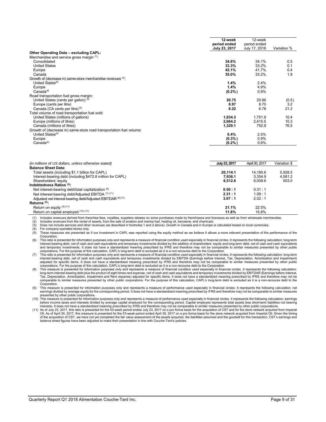|                                                                     | 12-week       | 12-week       |             |
|---------------------------------------------------------------------|---------------|---------------|-------------|
|                                                                     | period ended  | period ended  |             |
|                                                                     | July 23, 2017 | July 17, 2016 | Variation % |
| Other Operating Data - excluding CAPL:                              |               |               |             |
| Merchandise and service gross margin (1):                           |               |               |             |
| Consolidated                                                        | 34.6%         | 34.1%         | 0.5         |
| <b>United States</b>                                                | 33.3%         | 33.2%         | 0.1         |
| Europe                                                              | 42.1%         | 41.7%         | 0.4         |
| Canada                                                              | 35.0%         | 33.2%         | 1.8         |
| Growth of (decrease in) same-store merchandise revenues (3):        |               |               |             |
| United States <sup>(4)</sup>                                        | 1.4%          | 2.4%          |             |
| Europe                                                              | 1.4%          | 4.9%          |             |
| Canada <sup>(4)</sup>                                               | $(0.2\%)$     | 0.9%          |             |
| Road transportation fuel gross margin:                              |               |               |             |
| United States (cents per gallon) (4)                                | 20.75         | 20.86         | (0.5)       |
| Europe (cents per litre)                                            | 8.97          | 8.70          | 3.2         |
| Canada (CA cents per litre) <sup>(4)</sup>                          | 8.22          | 6.78          | 21.2        |
| Total volume of road transportation fuel sold:                      |               |               |             |
| United States (millions of gallons)                                 | 1,934.3       | 1,751.9       | 10.4        |
| Europe (millions of litres)                                         | 2,664.2       | 2,415.5       | 10.3        |
| Canada (millions of litres)                                         | 1,329.1       | 752.9         | 76.5        |
| Growth of (decrease in) same-store road transportation fuel volume: |               |               |             |
| United States <sup>(4)</sup>                                        | 0.4%          | 2.5%          |             |
| Europe                                                              | $(0.3\%)$     | 0.9%          |             |
| Canada <sup>(4)</sup>                                               | $(0.2\%)$     | 0.6%          |             |

| (in millions of US dollars, unless otherwise stated)        | July 23, 2017 | April 30, 2017 | Variation \$ |
|-------------------------------------------------------------|---------------|----------------|--------------|
| <b>Balance Sheet Data:</b>                                  |               |                |              |
| Total assets (including \$1.1 billion for CAPL)             | 20.114.1      | 14.185.6       | 5.928.5      |
| Interest-bearing debt (including \$472.8 million for CAPL)  | 7.936.1       | 3.354.9        | 4.581.2      |
| Shareholders' equity                                        | 6,512.6       | 6.009.6        | 503.0        |
| Indebtedness Ratios (5):                                    |               |                |              |
| Net interest-bearing debt/total capitalization (6)          | 0.50:1        | 0.31 : 1       |              |
| Net interest-bearing debt/Adjusted EBITDA (7) (11)          | 2.31 : 1      | 1.09:1         |              |
| Adjusted net interest-bearing debt/Adjusted EBITDAR (8)(11) | 3.07:1        | 2.02 : 1       |              |
| Returns $(5)$ :                                             |               |                |              |
| Return on equity $(9)(11)$                                  | 21.1%         | 22.5%          |              |
| Return on capital employed (10) (11)                        | 11.8%         | 15.8%          |              |
|                                                             |               |                |              |

(1) Includes revenues derived from franchise fees, royalties, suppliers rebates on some purchases made by franchisees and licensees as well as from wholesale merchandise.<br>(2) Includes revenues from the rental of assets, fr

Includes revenues from the rental of assets, from the sale of aviation and marine fuel, heating oil, kerosene, and chemicals.

For company-operated stores only.

(3) Does not include services and other revenues (as described in footnotes 1 and 2 above). Growth in Canada and in Europe is calculated based on local currencies.<br>
(4) For company-operated stores only.<br>
(5) These measures These measures are presented as if our investment in CAPL was reported using the equity method as we believe it allows a more relevant presentation of the performance of the Corporation.

(6) This ratio is presented for information purposes only and represents a measure of financial condition used especially in financial circles. It represents the following calculation: long-term interest-bearing debt, net of cash and cash equivalents and temporary investments divided by the addition of shareholders' equity and long-term debt, net of cash and cash equivalents and temporary investments. It does not investments. It does not have a standardized meaning prescribed by IFRS and therefore may not be comparable to similar measures presented by other public

corporations. For the purpose of this calculation, CAPL's long-term debt is excluded as it is a non-recourse debt to the Corporation.<br>(7) This ratio is presented for information purposes only and represents a measure of fi interest-bearing debt, net of cash and cash equivalents and temporary investments divided by EBITDA (Earnings before Interest, Tax, Depreciation, Amortization and Impairment) adjusted for specific items. It does not have a standardized meaning prescribed by IFRS and therefore may not be comparable to similar measures presented by other public<br>corporations. For the purpose of this calculation, C

.8) This measure is presented for information purposes only and represents a measure of financial condition used especially in financial circles. It represents the following calculation:<br>Iong-term interest-bearing debt plu Tax, Depreciation, Amortization, Impairment and Rent expense) adjusted for specific items. It does not have a standardized meaning prescribed by IFRS and therefore may not be<br>comparable to similar measures presented by oth Corporation.

9) This measure is presented for information purposes only and represents a measure of performance used especially in financial circles. It represents the following calculation: net<br>earnings divided by average equity for t presented by other public corporations.

(10) This measure is presented for information purposes only and represents a measure of performance used especially in financial circles. It represents the following calculation: earnings<br>before income taxes and interests

interests. It does not have a standardized meaning prescribed by IFRS and therefore may not be comparable to similar measures presented by other public corporations.<br>(11) As of July 23, 2017, this ratio is presented for th Oil. As of April 30, 2017, this measure is presented for the 53-week period ended April 30, 2017 on a pro forma basis for the store network acquired from Imperial Oil. Given the timing of the acquisition of CST, we have not yet completed the fair value assessment of the assets acquired, the liabilities assumed and the goodwill for this transaction. CST's earnings and<br>balance sheet figures have been adjus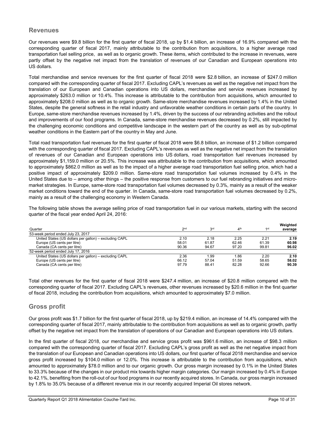#### **Revenues**

Our revenues were \$9.8 billion for the first quarter of fiscal 2018, up by \$1.4 billion, an increase of 16.9% compared with the corresponding quarter of fiscal 2017, mainly attributable to the contribution from acquisitions, to a higher average road transportation fuel selling price, as well as to organic growth. These items, which contributed to the increase in revenues, were partly offset by the negative net impact from the translation of revenues of our Canadian and European operations into US dollars.

Total merchandise and service revenues for the first quarter of fiscal 2018 were \$2.8 billion, an increase of \$247.0 million compared with the corresponding quarter of fiscal 2017. Excluding CAPL's revenues as well as the negative net impact from the translation of our European and Canadian operations into US dollars, merchandise and service revenues increased by approximately \$263.0 million or 10.4%. This increase is attributable to the contribution from acquisitions, which amounted to approximately \$208.0 million as well as to organic growth. Same-store merchandise revenues increased by 1.4% in the United States, despite the general softness in the retail industry and unfavorable weather conditions in certain parts of the country. In Europe, same-store merchandise revenues increased by 1.4%, driven by the success of our rebranding activities and the rollout and improvements of our food programs. In Canada, same-store merchandise revenues decreased by 0.2%, still impacted by the challenging economic conditions and competitive landscape in the western part of the country as well as by sub-optimal weather conditions in the Eastern part of the country in May and June.

Total road transportation fuel revenues for the first quarter of fiscal 2018 were \$6.8 billion, an increase of \$1.2 billion compared with the corresponding quarter of fiscal 2017. Excluding CAPL's revenues as well as the negative net impact from the translation of revenues of our Canadian and European operations into US dollars, road transportation fuel revenues increased by approximately \$1,159.0 million or 20.5%. This increase was attributable to the contribution from acquisitions, which amounted to approximately \$862.0 million as well as to the impact of a higher average road transportation fuel selling price, which had a positive impact of approximately \$209.0 million. Same-store road transportation fuel volumes increased by 0.4% in the United States due to – among other things – the positive response from customers to our fuel rebranding initiatives and micromarket strategies. In Europe, same-store road transportation fuel volumes decreased by 0.3%, mainly as a result of the weaker market conditions toward the end of the quarter. In Canada, same-store road transportation fuel volumes decreased by 0.2%, mainly as a result of the challenging economy in Western Canada.

The following table shows the average selling price of road transportation fuel in our various markets, starting with the second quarter of the fiscal year ended April 24, 2016:

| Quarter                                                | 2 <sub>nd</sub> | 3 <sup>rd</sup> | 4 <sup>th</sup> | 1 <sub>st</sub> | Weighted<br>average |
|--------------------------------------------------------|-----------------|-----------------|-----------------|-----------------|---------------------|
| 53-week period ended July 23, 2017                     |                 |                 |                 |                 |                     |
| United States (US dollars per gallon) - excluding CAPL | 2.10            | 2.18            | 2.25            | 2.21            | 2.19                |
| Europe (US cents per litre)                            | 58.01           | 61.87           | 62.46           | 61.39           | 60.98               |
| Canada (CA cents per litre)                            | 90.36           | 94.67           | 97.20           | 99.81           | 96.02               |
| 52-week period ended July 17, 2016                     |                 |                 |                 |                 |                     |
| United States (US dollars per gallon) - excluding CAPL | 2.36            | 1.99            | 86.⊺            | 2.20            | 2.10                |
| Europe (US cents per litre)                            | 66.12           | 57.04           | 51.59           | 58.65           | 58.02               |
| Canada (CA cents per litre)                            | 97.79           | 88.41           | 82.28           | 92.66           | 90.39               |

Total other revenues for the first quarter of fiscal 2018 were \$247.4 million, an increase of \$20.8 million compared with the corresponding quarter of fiscal 2017. Excluding CAPL's revenues, other revenues increased by \$20.6 million in the first quarter of fiscal 2018, including the contribution from acquisitions, which amounted to approximately \$7.0 million.

#### **Gross profit**

Our gross profit was \$1.7 billion for the first quarter of fiscal 2018, up by \$219.4 million, an increase of 14.4% compared with the corresponding quarter of fiscal 2017, mainly attributable to the contribution from acquisitions as well as to organic growth, partly offset by the negative net impact from the translation of operations of our Canadian and European operations into US dollars.

In the first quarter of fiscal 2018, our merchandise and service gross profit was \$961.6 million, an increase of \$98.3 million compared with the corresponding quarter of fiscal 2017. Excluding CAPL's gross profit as well as the net negative impact from the translation of our European and Canadian operations into US dollars, our first quarter of fiscal 2018 merchandise and service gross profit increased by \$104.0 million or 12.0%. This increase is attributable to the contribution from acquisitions, which amounted to approximately \$78.0 million and to our organic growth. Our gross margin increased by 0.1% in the United States to 33.3% because of the changes in our product mix towards higher margin categories. Our margin increased by 0.4% in Europe to 42.1%, benefiting from the roll-out of our food programs in our recently acquired stores. In Canada, our gross margin increased by 1.8% to 35.0% because of a different revenue mix in our recently acquired Imperial Oil stores network.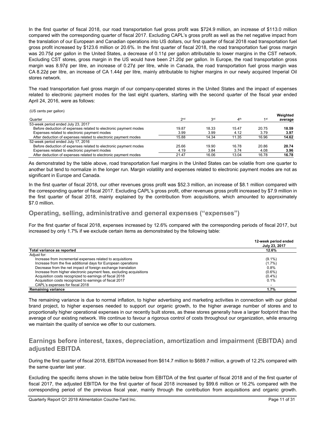In the first quarter of fiscal 2018, our road transportation fuel gross profit was \$724.9 million, an increase of \$113.0 million compared with the corresponding quarter of fiscal 2017. Excluding CAPL's gross profit as well as the net negative impact from the translation of our European and Canadian operations into US dollars, our first quarter of fiscal 2018 road transportation fuel gross profit increased by \$123.6 million or 20.6%. In the first quarter of fiscal 2018, the road transportation fuel gross margin was 20.75¢ per gallon in the United States, a decrease of 0.11¢ per gallon attributable to lower margins in the CST network. Excluding CST stores, gross margin in the US would have been 21.20¢ per gallon. In Europe, the road transportation gross margin was 8.97¢ per litre, an increase of 0.27¢ per litre, while in Canada, the road transportation fuel gross margin was CA 8.22¢ per litre, an increase of CA 1.44¢ per litre, mainly attributable to higher margins in our newly acquired Imperial Oil stores network.

The road transportation fuel gross margin of our company-operated stores in the United States and the impact of expenses related to electronic payment modes for the last eight quarters, starting with the second quarter of the fiscal year ended April 24, 2016, were as follows:

(US cents per gallon)

|                                                                  |                 |                 |                        |                 | Weighted |
|------------------------------------------------------------------|-----------------|-----------------|------------------------|-----------------|----------|
| Quarter                                                          | 2 <sub>nd</sub> | 3 <sup>rd</sup> | $\Delta$ <sup>th</sup> | 1 <sub>st</sub> | average  |
| 53-week period ended July 23, 2017                               |                 |                 |                        |                 |          |
| Before deduction of expenses related to electronic payment modes | 19.87           | 18.33           | 15.47                  | 20.75           | 18.59    |
| Expenses related to electronic payment modes                     | 3.99            | 3.99            | 4.12                   | 3.79            | 3.97     |
| After deduction of expenses related to electronic payment modes  | 15.88           | 14.34           | 11.35                  | 16.96           | 14.62    |
| 52-week period ended July 17, 2016                               |                 |                 |                        |                 |          |
| Before deduction of expenses related to electronic payment modes | 25.66           | 19.90           | 16.78                  | 20.86           | 20.74    |
| Expenses related to electronic payment modes                     | 4.19            | 3.84            | 3.74                   | 4.08            | 3.96     |
| After deduction of expenses related to electronic payment modes  | 21.47           | 16.06           | 13.04                  | 16.78           | 16.78    |

As demonstrated by the table above, road transportation fuel margins in the United States can be volatile from one quarter to another but tend to normalize in the longer run. Margin volatility and expenses related to electronic payment modes are not as significant in Europe and Canada.

In the first quarter of fiscal 2018, our other revenues gross profit was \$52.3 million, an increase of \$8.1 million compared with the corresponding quarter of fiscal 2017. Excluding CAPL's gross profit, other revenues gross profit increased by \$7.9 million in the first quarter of fiscal 2018, mainly explained by the contribution from acquisitions, which amounted to approximately \$7.0 million.

## **Operating, selling, administrative and general expenses ("expenses")**

For the first quarter of fiscal 2018, expenses increased by 12.6% compared with the corresponding periods of fiscal 2017, but increased by only 1.7% if we exclude certain items as demonstrated by the following table:

|                                                                      | 12-week period ended<br>July 23, 2017 |
|----------------------------------------------------------------------|---------------------------------------|
| Total variance as reported                                           | 12.6%                                 |
| Adjust for:                                                          |                                       |
| Increase from incremental expenses related to acquisitions           | $(9.1\%)$                             |
| Increase from the five additional days for European operations       | $(1.7\%)$                             |
| Decrease from the net impact of foreign exchange translation         | 0.8%                                  |
| Increase from higher electronic payment fees, excluding acquisitions | $(0.6\%)$                             |
| Acquisition costs recognized to earnings of fiscal 2018              | $(0.4\%)$                             |
| Acquisition costs recognized to earnings of fiscal 2017              | 0.1%                                  |
| CAPL's expenses for fiscal 2018                                      |                                       |
| <b>Remaining variance</b>                                            | 1.7%                                  |

The remaining variance is due to normal inflation, to higher advertising and marketing activities in connection with our global brand project, to higher expenses needed to support our organic growth, to the higher average number of stores and to proportionally higher operational expenses in our recently built stores, as these stores generally have a larger footprint than the average of our existing network. We continue to favour a rigorous control of costs throughout our organization, while ensuring we maintain the quality of service we offer to our customers.

## **Earnings before interest, taxes, depreciation, amortization and impairment (EBITDA) and adjusted EBITDA**

During the first quarter of fiscal 2018, EBITDA increased from \$614.7 million to \$689.7 million, a growth of 12.2% compared with the same quarter last year.

Excluding the specific items shown in the table below from EBITDA of the first quarter of fiscal 2018 and of the first quarter of fiscal 2017, the adjusted EBITDA for the first quarter of fiscal 2018 increased by \$99.6 million or 16.2% compared with the corresponding period of the previous fiscal year, mainly through the contribution from acquisitions and organic growth.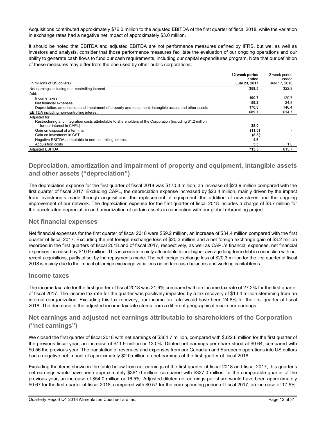Acquisitions contributed approximately \$76.0 million to the adjusted EBITDA of the first quarter of fiscal 2018, while the variation in exchange rates had a negative net impact of approximately \$3.0 million.

It should be noted that EBITDA and adjusted EBITDA are not performance measures defined by IFRS, but we, as well as investors and analysts, consider that those performance measures facilitate the evaluation of our ongoing operations and our ability to generate cash flows to fund our cash requirements, including our capital expenditures program. Note that our definition of these measures may differ from the one used by other public corporations:

|                                                                                                              | 12-week period | 12-week period |
|--------------------------------------------------------------------------------------------------------------|----------------|----------------|
|                                                                                                              | ended          | ended          |
| (in millions of US dollars)                                                                                  | July 23, 2017  | July 17, 2016  |
| Net earnings including non-controlling interest                                                              | 359.5          | 322.8          |
| Add:                                                                                                         |                |                |
| Income taxes                                                                                                 | 100.7          | 120.7          |
| Net financial expenses                                                                                       | 59.2           | 24.8           |
| Depreciation, amortization and impairment of property and equipment, intangible assets and other assets      | 170.3          | 146.4          |
| EBITDA including non-controlling interest                                                                    | 689.7          | 614.7          |
| Adjusted for:                                                                                                |                |                |
| Restructuring and integration costs attributable to shareholders of the Corporation (including \$1.2 million |                |                |
| for our interest in CAPL)                                                                                    | 38.0           |                |
| Gain on disposal of a terminal                                                                               | (11.5)         |                |
| Gain on investment in CST                                                                                    | (8.8)          |                |
| Negative EBITDA attributable to non-controlling interest                                                     | 4.6            |                |
| Acquisition costs                                                                                            | 3.3            | 1.0            |
| <b>Adjusted EBITDA</b>                                                                                       | 715.3          | 615.7          |

## **Depreciation, amortization and impairment of property and equipment, intangible assets and other assets ("depreciation")**

The depreciation expense for the first quarter of fiscal 2018 was \$170.3 million, an increase of \$23.9 million compared with the first quarter of fiscal 2017. Excluding CAPL, the depreciation expense increased by \$23.4 million, mainly driven by the impact from investments made through acquisitions, the replacement of equipment, the addition of new stores and the ongoing improvement of our network. The depreciation expense for the first quarter of fiscal 2018 includes a charge of \$3.7 million for the accelerated depreciation and amortization of certain assets in connection with our global rebranding project.

#### **Net financial expenses**

Net financial expenses for the first quarter of fiscal 2018 were \$59.2 million, an increase of \$34.4 million compared with the first quarter of fiscal 2017. Excluding the net foreign exchange loss of \$20.3 million and a net foreign exchange gain of \$3.2 million recorded in the first quarters of fiscal 2018 and of fiscal 2017, respectively, as well as CAPL's financial expenses, net financial expenses increased by \$10.9 million. This increase is mainly attributable to our higher average long-term debt in connection with our recent acquisitions, partly offset by the repayments made. The net foreign exchange loss of \$20.3 million for the first quarter of fiscal 2018 is mainly due to the impact of foreign exchange variations on certain cash balances and working capital items.

#### **Income taxes**

The income tax rate for the first quarter of fiscal 2018 was 21.9% compared with an income tax rate of 27.2% for the first quarter of fiscal 2017. The income tax rate for the quarter was positively impacted by a tax recovery of \$13.4 million stemming from an internal reorganization. Excluding this tax recovery, our income tax rate would have been 24.8% for the first quarter of fiscal 2018. The decrease in the adjusted income tax rate stems from a different geographical mix in our earnings.

## **Net earnings and adjusted net earnings attributable to shareholders of the Corporation ("net earnings")**

We closed the first quarter of fiscal 2018 with net earnings of \$364.7 million, compared with \$322.8 million for the first quarter of the previous fiscal year, an increase of \$41.9 million or 13.0%. Diluted net earnings per share stood at \$0.64, compared with \$0.56 the previous year. The translation of revenues and expenses from our Canadian and European operations into US dollars had a negative net impact of approximately \$2.0 million on net earnings of the first quarter of fiscal 2018.

Excluding the items shown in the table below from net earnings of the first quarter of fiscal 2018 and fiscal 2017, this quarter's net earnings would have been approximately \$381.0 million, compared with \$327.0 million for the comparable quarter of the previous year, an increase of \$54.0 million or 16.5%. Adjusted diluted net earnings per share would have been approximately \$0.67 for the first quarter of fiscal 2018, compared with \$0.57 for the corresponding period of fiscal 2017, an increase of 17.5%.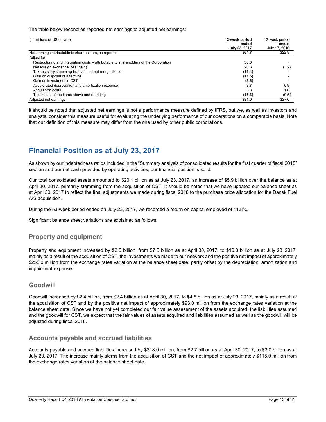The table below reconciles reported net earnings to adjusted net earnings:

| (in millions of US dollars)                                                           | 12-week period<br>ended<br>July 23, 2017 | 12-week period<br>ended<br>July 17, 2016 |
|---------------------------------------------------------------------------------------|------------------------------------------|------------------------------------------|
| Net earnings attributable to shareholders, as reported                                | 364.7                                    | 322.8                                    |
| Adjust for:                                                                           |                                          |                                          |
| Restructuring and integration costs – attributable to shareholders of the Corporation | 38.0                                     |                                          |
| Net foreign exchange loss (gain)                                                      | 20.3                                     | (3.2)                                    |
| Tax recovery stemming from an internal reorganization                                 | (13.4)                                   |                                          |
| Gain on disposal of a terminal                                                        | (11.5)                                   |                                          |
| Gain on investment in CST                                                             | (8.8)                                    |                                          |
| Accelerated depreciation and amortization expense                                     | 3.7                                      | 6.9                                      |
| Acquisition costs                                                                     | 3.3                                      | 1.0                                      |
| Tax impact of the items above and rounding                                            | (15.3)                                   | (0.5)                                    |
| Adjusted net earnings                                                                 | 381.0                                    | 327.0                                    |

It should be noted that adjusted net earnings is not a performance measure defined by IFRS, but we, as well as investors and analysts, consider this measure useful for evaluating the underlying performance of our operations on a comparable basis. Note that our definition of this measure may differ from the one used by other public corporations.

## **Financial Position as at July 23, 2017**

As shown by our indebtedness ratios included in the "Summary analysis of consolidated results for the first quarter of fiscal 2018" section and our net cash provided by operating activities, our financial position is solid.

Our total consolidated assets amounted to \$20.1 billion as at July 23, 2017, an increase of \$5.9 billion over the balance as at April 30, 2017, primarily stemming from the acquisition of CST. It should be noted that we have updated our balance sheet as at April 30, 2017 to reflect the final adjustments we made during fiscal 2018 to the purchase price allocation for the Dansk Fuel A/S acquisition.

During the 53-week period ended on July 23, 2017, we recorded a return on capital employed of 11.8%.

Significant balance sheet variations are explained as follows:

#### **Property and equipment**

Property and equipment increased by \$2.5 billion, from \$7.5 billion as at April 30, 2017, to \$10.0 billion as at July 23, 2017, mainly as a result of the acquisition of CST, the investments we made to our network and the positive net impact of approximately \$258.0 million from the exchange rates variation at the balance sheet date, partly offset by the depreciation, amortization and impairment expense.

#### **Goodwill**

Goodwill increased by \$2.4 billion, from \$2.4 billion as at April 30, 2017, to \$4.8 billion as at July 23, 2017, mainly as a result of the acquisition of CST and by the positive net impact of approximately \$93.0 million from the exchange rates variation at the balance sheet date. Since we have not yet completed our fair value assessment of the assets acquired, the liabilities assumed and the goodwill for CST, we expect that the fair values of assets acquired and liabilities assumed as well as the goodwill will be adjusted during fiscal 2018.

#### **Accounts payable and accrued liabilities**

Accounts payable and accrued liabilities increased by \$318.0 million, from \$2.7 billion as at April 30, 2017, to \$3.0 billion as at July 23, 2017. The increase mainly stems from the acquisition of CST and the net impact of approximately \$115.0 million from the exchange rates variation at the balance sheet date.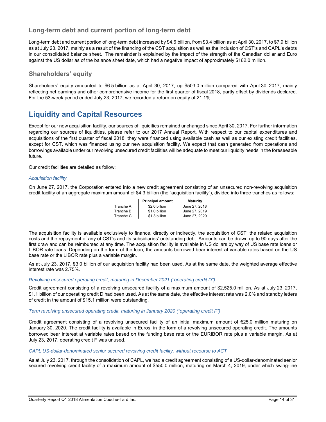### **Long-term debt and current portion of long-term debt**

Long-term debt and current portion of long-term debt increased by \$4.6 billion, from \$3.4 billion as at April 30, 2017, to \$7.9 billion as at July 23, 2017, mainly as a result of the financing of the CST acquisition as well as the inclusion of CST's and CAPL's debts in our consolidated balance sheet. The remainder is explained by the impact of the strength of the Canadian dollar and Euro against the US dollar as of the balance sheet date, which had a negative impact of approximately \$162.0 million.

#### **Shareholders' equity**

Shareholders' equity amounted to \$6.5 billion as at April 30, 2017, up \$503.0 million compared with April 30, 2017, mainly reflecting net earnings and other comprehensive income for the first quarter of fiscal 2018, partly offset by dividends declared. For the 53-week period ended July 23, 2017, we recorded a return on equity of 21.1%.

## **Liquidity and Capital Resources**

Except for our new acquisition facility, our sources of liquidities remained unchanged since April 30, 2017. For further information regarding our sources of liquidities, please refer to our 2017 Annual Report. With respect to our capital expenditures and acquisitions of the first quarter of fiscal 2018, they were financed using available cash as well as our existing credit facilities, except for CST, which was financed using our new acquisition facility. We expect that cash generated from operations and borrowings available under our revolving unsecured credit facilities will be adequate to meet our liquidity needs in the foreseeable future.

Our credit facilities are detailed as follow:

#### *Acquisition facility*

On June 27, 2017, the Corporation entered into a new credit agreement consisting of an unsecured non-revolving acquisition credit facility of an aggregate maximum amount of \$4.3 billion (the "acquisition facility"), divided into three tranches as follows:

|           | <b>Principal amount</b> | <b>Maturity</b> |
|-----------|-------------------------|-----------------|
| Tranche A | \$2.0 billion           | June 27, 2018   |
| Tranche B | \$1.0 billion           | June 27, 2019   |
| Tranche C | \$1.3 billion           | June 27, 2020   |

The acquisition facility is available exclusively to finance, directly or indirectly, the acquisition of CST, the related acquisition costs and the repayment of any of CST's and its subsidiaries' outstanding debt. Amounts can be drawn up to 90 days after the first draw and can be reimbursed at any time. The acquisition facility is available in US dollars by way of US base rate loans or LIBOR rate loans. Depending on the form of the loan, the amounts borrowed bear interest at variable rates based on the US base rate or the LIBOR rate plus a variable margin.

As at July 23, 2017, \$3.0 billion of our acquisition facility had been used. As at the same date, the weighted average effective interest rate was 2.75%.

#### *Revolving unsecured operating credit, maturing in December 2021 ("operating credit D")*

Credit agreement consisting of a revolving unsecured facility of a maximum amount of \$2,525.0 million. As at July 23, 2017, \$1.1 billion of our operating credit D had been used. As at the same date, the effective interest rate was 2.0% and standby letters of credit in the amount of \$15.1 million were outstanding.

#### *Term revolving unsecured operating credit, maturing in January 2020 ("operating credit F")*

Credit agreement consisting of a revolving unsecured facility of an initial maximum amount of €25.0 million maturing on January 30, 2020. The credit facility is available in Euros, in the form of a revolving unsecured operating credit. The amounts borrowed bear interest at variable rates based on the funding base rate or the EURIBOR rate plus a variable margin. As at July 23, 2017, operating credit F was unused.

#### *CAPL US-dollar-denominated senior secured revolving credit facility, without recourse to ACT*

As at July 23, 2017, through the consolidation of CAPL, we had a credit agreement consisting of a US-dollar-denominated senior secured revolving credit facility of a maximum amount of \$550.0 million, maturing on March 4, 2019, under which swing-line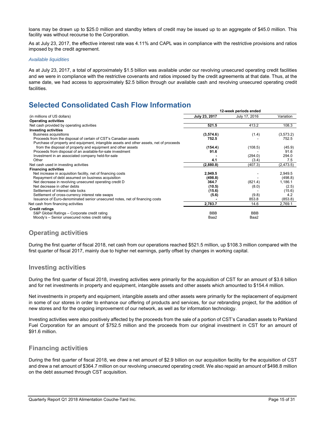loans may be drawn up to \$25.0 million and standby letters of credit may be issued up to an aggregate of \$45.0 million. This facility was without recourse to the Corporation.

As at July 23, 2017, the effective interest rate was 4.11% and CAPL was in compliance with the restrictive provisions and ratios imposed by the credit agreement.

#### *Available liquidities*

As at July 23, 2017, a total of approximately \$1.5 billion was available under our revolving unsecured operating credit facilities and we were in compliance with the restrictive covenants and ratios imposed by the credit agreements at that date. Thus, at the same date, we had access to approximately \$2.5 billion through our available cash and revolving unsecured operating credit facilities.

## **Selected Consolidated Cash Flow Information**

|                                                                                         | 12-week periods ended |               |            |
|-----------------------------------------------------------------------------------------|-----------------------|---------------|------------|
| (in millions of US dollars)                                                             | July 23, 2017         | July 17, 2016 | Variation  |
| <b>Operating activities</b>                                                             |                       |               |            |
| Net cash provided by operating activities                                               | 521.5                 | 413.2         | 108.3      |
| <b>Investing activities</b>                                                             |                       |               |            |
| <b>Business acquisitions</b>                                                            | (3,574.6)             | (1.4)         | (3,573.2)  |
| Proceeds from the disposal of certain of CST's Canadian assets                          | 752.5                 |               | 752.5      |
| Purchase of property and equipment, intangible assets and other assets, net of proceeds |                       |               |            |
| from the disposal of property and equipment and other assets                            | (154.4)               | (108.5)       | (45.9)     |
| Proceeds from disposal of an available-for-sale investment                              | 91.6                  |               | 91.6       |
| Investment in an associated company held-for-sale                                       |                       | (294.0)       | 294.0      |
| Other                                                                                   | 4.1                   | (3.4)         | 7.5        |
| Net cash used in investing activities                                                   | (2,880.8)             | (407.3)       | (2, 473.5) |
| <b>Financing activities</b>                                                             |                       |               |            |
| Net increase in acquisition facility, net of financing costs                            | 2,949.5               |               | 2,949.5    |
| Repayment of debt assumed on business acquisition                                       | (498.8)               |               | (498.8)    |
| Net decrease in revolving unsecured operating credit D                                  | 364.7                 | (821.4)       | 1,186.1    |
| Net decrease in other debts                                                             | (10.5)                | (8.0)         | (2.5)      |
| Settlement of interest rate locks                                                       | (15.6)                |               | (15.6)     |
| Settlement of cross-currency interest rate swaps                                        | (5.6)                 | (9.8)         | 4.2        |
| Issuance of Euro-denominated senior unsecured notes, net of financing costs             |                       | 853.8         | (853.8)    |
| Net cash from financing activities                                                      | 2,783.7               | 14.6          | 2,769.1    |
| <b>Credit ratings</b>                                                                   |                       |               |            |
| S&P Global Ratings - Corporate credit rating                                            | <b>BBB</b>            | <b>BBB</b>    |            |
| Moody's - Senior unsecured notes credit rating                                          | Baa2                  | Baa2          |            |

#### **Operating activities**

During the first quarter of fiscal 2018, net cash from our operations reached \$521.5 million, up \$108.3 million compared with the first quarter of fiscal 2017, mainly due to higher net earnings, partly offset by changes in working capital.

#### **Investing activities**

During the first quarter of fiscal 2018, investing activities were primarily for the acquisition of CST for an amount of \$3.6 billion and for net investments in property and equipment, intangible assets and other assets which amounted to \$154.4 million.

Net investments in property and equipment, intangible assets and other assets were primarily for the replacement of equipment in some of our stores in order to enhance our offering of products and services, for our rebranding project, for the addition of new stores and for the ongoing improvement of our network, as well as for information technology.

Investing activities were also positively affected by the proceeds from the sale of a portion of CST's Canadian assets to Parkland Fuel Corporation for an amount of \$752.5 million and the proceeds from our original investment in CST for an amount of \$91.6 million.

#### **Financing activities**

During the first quarter of fiscal 2018, we drew a net amount of \$2.9 billion on our acquisition facility for the acquisition of CST and drew a net amount of \$364.7 million on our revolving unsecured operating credit. We also repaid an amount of \$498.8 million on the debt assumed through CST acquisition.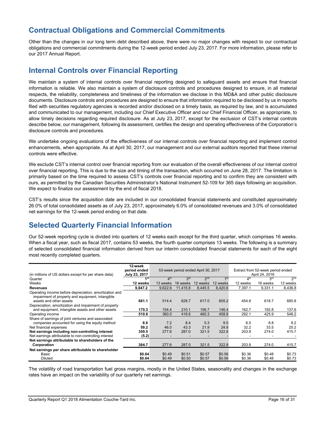## **Contractual Obligations and Commercial Commitments**

Other than the changes in our long term debt described above, there were no major changes with respect to our contractual obligations and commercial commitments during the 12-week period ended July 23, 2017. For more information, please refer to our 2017 Annual Report.

## **Internal Controls over Financial Reporting**

We maintain a system of internal controls over financial reporting designed to safeguard assets and ensure that financial information is reliable. We also maintain a system of disclosure controls and procedures designed to ensure, in all material respects, the reliability, completeness and timeliness of the information we disclose in this MD&A and other public disclosure documents. Disclosure controls and procedures are designed to ensure that information required to be disclosed by us in reports filed with securities regulatory agencies is recorded and/or disclosed on a timely basis, as required by law, and is accumulated and communicated to our management, including our Chief Executive Officer and our Chief Financial Officer, as appropriate, to allow timely decisions regarding required disclosure. As at July 23, 2017, except for the exclusion of CST's internal controls describe below, our management, following its assessment, certifies the design and operating effectiveness of the Corporation's disclosure controls and procedures.

We undertake ongoing evaluations of the effectiveness of our internal controls over financial reporting and implement control enhancements, when appropriate. As at April 30, 2017, our management and our external auditors reported that these internal controls were effective.

We exclude CST's internal control over financial reporting from our evaluation of the overall effectiveness of our internal control over financial reporting. This is due to the size and timing of the transaction, which occurred on June 28, 2017. The limitation is primarily based on the time required to assess CST's controls over financial reporting and to confirm they are consistent with ours, as permitted by the Canadian Securities Administrator's National Instrument 52-109 for 365 days following an acquisition. We expect to finalize our assessment by the end of fiscal 2018.

CST's results since the acquisition date are included in our consolidated financial statements and constituted approximately 26.0% of total consolidated assets as of July 23, 2017, approximately 6.0% of consolidated revenues and 3.0% of consolidated net earnings for the 12-week period ending on that date.

## **Selected Quarterly Financial Information**

Our 52-week reporting cycle is divided into quarters of 12 weeks each except for the third quarter, which comprises 16 weeks. When a fiscal year, such as fiscal 2017, contains 53 weeks, the fourth quarter comprises 13 weeks. The following is a summary of selected consolidated financial information derived from our interim consolidated financial statements for each of the eight most recently completed quarters.

| (in millions of US dollars except for per share data)                                                                                                                              | 12-week<br>period ended<br>July 23, 2017 | 53-week period ended April 30, 2017 |                      |                      |                      | Extract from 52-week period ended<br>April 24, 2016 |                      |                      |
|------------------------------------------------------------------------------------------------------------------------------------------------------------------------------------|------------------------------------------|-------------------------------------|----------------------|----------------------|----------------------|-----------------------------------------------------|----------------------|----------------------|
| Quarter                                                                                                                                                                            | 1 <sup>st</sup>                          | 4 <sup>th</sup>                     | 3 <sup>rd</sup>      | 2 <sub>nd</sub>      | 1 <sup>st</sup>      | 4 <sup>th</sup>                                     | 3rd                  | 2 <sub>nd</sub>      |
| Weeks                                                                                                                                                                              | 12 weeks                                 | 13 weeks                            | 16 weeks             | 12 weeks             | 12 weeks             | 12 weeks                                            | 16 weeks             | 12 weeks             |
| <b>Revenues</b>                                                                                                                                                                    | 9,847.2                                  | 9,622.6                             | 11,415.8             | 8,445.5              | 8,420.6              | 7,397.1                                             | 9,331.1              | 8,436.8              |
| Operating income before depreciation, amortization and<br>impairment of property and equipment, intangible<br>assets and other assets                                              | 681.1                                    | 514.4                               | 628.7                | 617.0                | 605.2                | 454.8                                               | 618.7                | 685.8                |
| Depreciation, amortization and impairment of property<br>and equipment, intangible assets and other assets                                                                         | 170.3                                    | 154.4                               | 210.1                | 156.7                | 146.4                | 162.7                                               | 192.8                | 137.6                |
| Operating income                                                                                                                                                                   | 510.8                                    | 360.0                               | 418.6                | 460.3                | 458.8                | 292.1                                               | 425.9                | 548.2                |
| Share of earnings of joint ventures and associated<br>companies accounted for using the equity method<br>Net financial expenses<br>Net earnings including non-controlling interest | 8.6<br>59.2<br>359.5                     | 7.2<br>46.0<br>277.6                | 8.4<br>43.3<br>287.0 | 5.3<br>21.9<br>321.5 | 9.5<br>24.8<br>322.8 | 6.5<br>32.2<br>203.9                                | 8.8<br>33.5<br>274.0 | 8.2<br>25.2<br>415.7 |
| Net earnings attributable to non-controlling interest                                                                                                                              | (5.2)                                    |                                     |                      |                      |                      |                                                     |                      |                      |
| Net earnings attributable to shareholders of the<br>Corporation                                                                                                                    | 364.7                                    | 277.6                               | 287.0                | 321.5                | 322.8                | 203.9                                               | 274.0                | 415.7                |
| Net earnings per share attributable to shareholder<br>Basic<br>Diluted                                                                                                             | \$0.64<br>\$0.64                         | \$0.49<br>\$0.49                    | \$0.51<br>\$0.50     | \$0.57<br>\$0.57     | \$0.56<br>\$0.56     | \$0.36<br>\$0.36                                    | \$0.48<br>\$0.48     | \$0.73<br>\$0.73     |

The volatility of road transportation fuel gross margins, mostly in the United States, seasonality and changes in the exchange rates have an impact on the variability of our quarterly net earnings.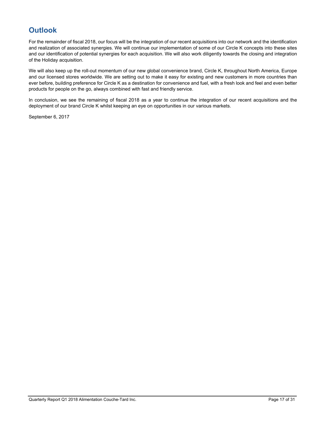## **Outlook**

For the remainder of fiscal 2018, our focus will be the integration of our recent acquisitions into our network and the identification and realization of associated synergies. We will continue our implementation of some of our Circle K concepts into these sites and our identification of potential synergies for each acquisition. We will also work diligently towards the closing and integration of the Holiday acquisition.

We will also keep up the roll-out momentum of our new global convenience brand, Circle K, throughout North America, Europe and our licensed stores worldwide. We are setting out to make it easy for existing and new customers in more countries than ever before, building preference for Circle K as a destination for convenience and fuel, with a fresh look and feel and even better products for people on the go, always combined with fast and friendly service.

In conclusion, we see the remaining of fiscal 2018 as a year to continue the integration of our recent acquisitions and the deployment of our brand Circle K whilst keeping an eye on opportunities in our various markets.

September 6, 2017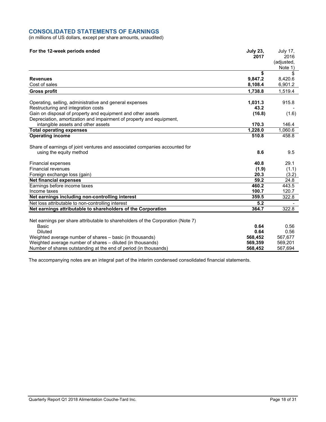#### **CONSOLIDATED STATEMENTS OF EARNINGS**

(in millions of US dollars, except per share amounts, unaudited)

| For the 12-week periods ended                                                   | <b>July 23,</b> | <b>July 17,</b>       |
|---------------------------------------------------------------------------------|-----------------|-----------------------|
|                                                                                 | 2017            | 2016                  |
|                                                                                 |                 | (adjusted,<br>Note 1) |
|                                                                                 | \$              | \$                    |
| <b>Revenues</b>                                                                 | 9,847.2         | 8,420.6               |
| Cost of sales                                                                   | 8,108.4         | 6,901.2               |
|                                                                                 |                 |                       |
| <b>Gross profit</b>                                                             | 1,738.8         | 1,519.4               |
| Operating, selling, administrative and general expenses                         | 1,031.3         | 915.8                 |
| Restructuring and integration costs                                             | 43.2            |                       |
| Gain on disposal of property and equipment and other assets                     | (16.8)          | (1.6)                 |
| Depreciation, amortization and impairment of property and equipment,            |                 |                       |
| intangible assets and other assets                                              | 170.3           | 146.4                 |
| <b>Total operating expenses</b>                                                 | 1,228.0         | 1,060.6               |
| <b>Operating income</b>                                                         | 510.8           | 458.8                 |
|                                                                                 |                 |                       |
| Share of earnings of joint ventures and associated companies accounted for      |                 |                       |
| using the equity method                                                         | 8.6             | 9.5                   |
|                                                                                 |                 |                       |
| Financial expenses                                                              | 40.8            | 29.1                  |
| <b>Financial revenues</b>                                                       | (1.9)           | (1.1)                 |
| Foreign exchange loss (gain)                                                    | 20.3            | (3.2)                 |
| <b>Net financial expenses</b>                                                   | 59.2            | 24.8                  |
| Earnings before income taxes                                                    | 460.2           | 443.5                 |
| Income taxes                                                                    | 100.7           | 120.7                 |
| Net earnings including non-controlling interest                                 | 359.5           | 322.8                 |
| Net loss attributable to non-controlling interest                               | 5.2             |                       |
| Net earnings attributable to shareholders of the Corporation                    | 364.7           | 322.8                 |
|                                                                                 |                 |                       |
| Net earnings per share attributable to shareholders of the Corporation (Note 7) |                 |                       |
| Basic                                                                           | 0.64            | 0.56                  |
| <b>Diluted</b>                                                                  | 0.64            | 0.56                  |
| Weighted average number of shares - basic (in thousands)                        | 568,452         | 567,677               |
| Weighted average number of shares – diluted (in thousands)                      | 569,359         | 569,201               |
| Number of shares outstanding at the end of period (in thousands)                | 568,452         | 567,694               |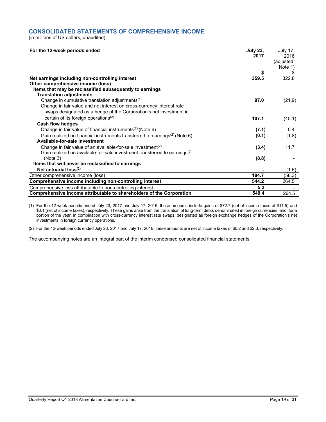#### **CONSOLIDATED STATEMENTS OF COMPREHENSIVE INCOME**

(in millions of US dollars, unaudited)

| For the 12-week periods ended                                                          | <b>July 23,</b><br>2017 | <b>July 17,</b><br>2016<br>(adjusted,<br>Note 1) |
|----------------------------------------------------------------------------------------|-------------------------|--------------------------------------------------|
|                                                                                        | \$                      |                                                  |
| Net earnings including non-controlling interest                                        | 359.5                   | 322.8                                            |
| Other comprehensive income (loss)                                                      |                         |                                                  |
| Items that may be reclassified subsequently to earnings                                |                         |                                                  |
| <b>Translation adjustments</b>                                                         |                         |                                                  |
| Change in cumulative translation adjustments <sup>(1)</sup>                            | 97.0                    | (21.9)                                           |
| Change in fair value and net interest on cross-currency interest rate                  |                         |                                                  |
| swaps designated as a hedge of the Corporation's net investment in                     |                         |                                                  |
| certain of its foreign operations <sup>(2)</sup>                                       | 107.1                   | (45.1)                                           |
| <b>Cash flow hedges</b>                                                                |                         |                                                  |
| Change in fair value of financial instruments <sup>(2)</sup> (Note 6)                  | (7.1)                   | 0.4                                              |
| Gain realized on financial instruments transferred to earnings <sup>(2)</sup> (Note 6) | (0.1)                   | (1.8)                                            |
| Available-for-sale investment                                                          |                         |                                                  |
| Change in fair value of an available-for-sale investment <sup>(2)</sup>                | (3.4)                   | 11.7                                             |
| Gain realized on available-for-sale investment transferred to earnings <sup>(2)</sup>  |                         |                                                  |
| (Note 3)                                                                               | (8.8)                   |                                                  |
| Items that will never be reclassified to earnings                                      |                         |                                                  |
| Net actuarial $loss^{(2)}$                                                             |                         | (1.6)                                            |
| Other comprehensive income (loss)                                                      | 184.7                   | (58.3)                                           |
| Comprehensive income including non-controlling interest                                | 544.2                   | 264.5                                            |
| Comprehensive loss attributable to non-controlling interest                            | 5.2                     |                                                  |
| Comprehensive income attributable to shareholders of the Corporation                   | 549.4                   | 264.5                                            |

(1) For the 12-week periods ended July 23, 2017 and July 17, 2016, these amounts include gains of \$72.7 (net of income taxes of \$11.5) and \$0.1 (net of income taxes), respectively. These gains arise from the translation of long-term debts denominated in foreign currencies, and, for a portion of the year, in combination with cross-currency interest rate swaps, designated as foreign exchange hedges of the Corporation's net investments in foreign currency operations.

(2) For the 12-week periods ended July 23, 2017 and July 17, 2016, these amounts are net of income taxes of \$0.2 and \$2.3, respectively.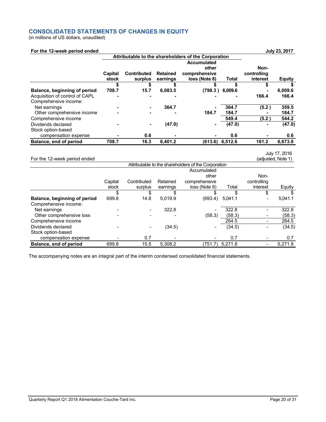#### **CONSOLIDATED STATEMENTS OF CHANGES IN EQUITY**

(in millions of US dollars, unaudited)

#### **For the 12-week period ended in the set of the 12-week period ended in the set of the 12-week period ended**

|                                | Attributable to the shareholders of the Corporation |                               |                             |                                |         |                         |               |
|--------------------------------|-----------------------------------------------------|-------------------------------|-----------------------------|--------------------------------|---------|-------------------------|---------------|
|                                |                                                     |                               |                             | <b>Accumulated</b><br>other    |         | Non-                    |               |
|                                | Capital<br>stock                                    | <b>Contributed</b><br>surplus | <b>Retained</b><br>earnings | comprehensive<br>loss (Note 8) | Total   | controlling<br>interest | <b>Equity</b> |
|                                |                                                     |                               |                             |                                |         | S                       |               |
| Balance, beginning of period   | 708.7                                               | 15.7                          | 6.083.5                     | (798.3)                        | 6,009.6 |                         | 6,009.6       |
| Acquisition of control of CAPL |                                                     |                               |                             |                                |         | 166.4                   | 166.4         |
| Comprehensive income:          |                                                     |                               |                             |                                |         |                         |               |
| Net earnings                   |                                                     |                               | 364.7                       |                                | 364.7   | (5.2)                   | 359.5         |
| Other comprehensive income     |                                                     |                               |                             | 184.7                          | 184.7   |                         | 184.7         |
| Comprehensive income           |                                                     |                               |                             |                                | 549.4   | (5.2)                   | 544.2         |
| Dividends declared             |                                                     | ۰                             | (47.0)                      | ۰                              | (47.0)  |                         | (47.0)        |
| Stock option-based             |                                                     |                               |                             |                                |         |                         |               |
| compensation expense           |                                                     | 0.6                           |                             |                                | 0.6     |                         | 0.6           |
| Balance, end of period         | 708.7                                               | 16.3                          | 6,401.2                     | (613.6)                        | 6,512.6 | 161.2                   | 6,673.8       |

For the 12-week period ended

July 17, 2016 (adjusted, Note 1)

|                              |         |             |          | Attributable to the shareholders of the Corporation |         |             |         |
|------------------------------|---------|-------------|----------|-----------------------------------------------------|---------|-------------|---------|
|                              |         |             |          | Accumulated                                         |         |             |         |
|                              |         |             |          | other                                               |         | Non-        |         |
|                              | Capital | Contributed | Retained | comprehensive                                       |         | controlling |         |
|                              | stock   | surplus     | earnings | loss (Note 8)                                       | Total   | interest    | Equity  |
|                              | \$      | S           | S        |                                                     | \$      | \$          |         |
| Balance, beginning of period | 699.8   | 14.8        | 5.019.9  | (693.4)                                             | 5.041.1 |             | 5.041.1 |
| Comprehensive income:        |         |             |          |                                                     |         |             |         |
| Net earnings                 |         |             | 322.8    |                                                     | 322.8   |             | 322.8   |
| Other comprehensive loss     |         |             |          | (58.3)                                              | (58.3)  |             | (58.3)  |
| Comprehensive income         |         |             |          |                                                     | 264.5   |             | 264.5   |
| Dividends declared           |         |             | (34.5)   |                                                     | (34.5)  |             | (34.5)  |
| Stock option-based           |         |             |          |                                                     |         |             |         |
| compensation expense         |         | 0.7         |          |                                                     | 0.7     |             | 0.7     |
| Balance, end of period       | 699.8   | 15.5        | 5.308.2  | (751.7)                                             | 5.271.8 |             | 5,271.8 |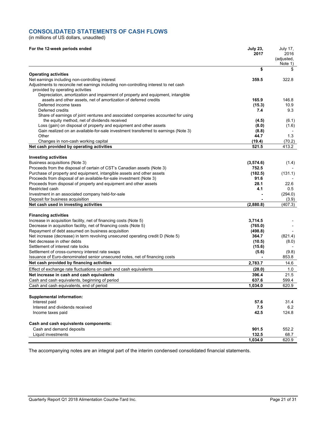#### **CONSOLIDATED STATEMENTS OF CASH FLOWS**

(in millions of US dollars, unaudited)

| For the 12-week periods ended                                                                                                                 | <b>July 23,</b><br>2017 | July 17,<br>2016<br>(adjusted,<br>Note 1) |
|-----------------------------------------------------------------------------------------------------------------------------------------------|-------------------------|-------------------------------------------|
|                                                                                                                                               | \$                      | \$                                        |
| <b>Operating activities</b>                                                                                                                   | 359.5                   | 322.8                                     |
| Net earnings including non-controlling interest<br>Adjustments to reconcile net earnings including non-controlling interest to net cash       |                         |                                           |
| provided by operating activities                                                                                                              |                         |                                           |
| Depreciation, amortization and impairment of property and equipment, intangible                                                               |                         |                                           |
| assets and other assets, net of amortization of deferred credits                                                                              | 165.9                   | 146.8                                     |
| Deferred income taxes                                                                                                                         | (15.3)                  | 10.9                                      |
| Deferred credits                                                                                                                              | 7.4                     | 9.3                                       |
| Share of earnings of joint ventures and associated companies accounted for using                                                              |                         |                                           |
| the equity method, net of dividends received<br>Loss (gain) on disposal of property and equipment and other assets                            | (4.5)<br>(8.0)          | (6.1)<br>(1.6)                            |
| Gain realized on an available-for-sale investment transferred to earnings (Note 3)                                                            | (8.8)                   |                                           |
| Other                                                                                                                                         | 44.7                    | 1.3                                       |
| Changes in non-cash working capital                                                                                                           | (19.4)                  | (70.2)                                    |
| Net cash provided by operating activities                                                                                                     | 521.5                   | 413.2                                     |
|                                                                                                                                               |                         |                                           |
| <b>Investing activities</b>                                                                                                                   |                         |                                           |
| Business acquisitions (Note 3)                                                                                                                | (3,574.6)               | (1.4)                                     |
| Proceeds from the disposal of certain of CST's Canadian assets (Note 3)                                                                       | 752.5                   |                                           |
| Purchase of property and equipment, intangible assets and other assets<br>Proceeds from disposal of an available-for-sale investment (Note 3) | (182.5)<br>91.6         | (131.1)                                   |
| Proceeds from disposal of property and equipment and other assets                                                                             | 28.1                    | 22.6                                      |
| Restricted cash                                                                                                                               | 4.1                     | 0.5                                       |
| Investment in an associated company held-for-sale                                                                                             |                         | (294.0)                                   |
| Deposit for business acquisition                                                                                                              |                         | (3.9)                                     |
| Net cash used in investing activities                                                                                                         | (2,880.8)               | (407.3)                                   |
| <b>Financing activities</b>                                                                                                                   |                         |                                           |
| Increase in acquisition facility, net of financing costs (Note 5)                                                                             | 3,714.5                 |                                           |
| Decrease in acquisition facility, net of financing costs (Note 5)                                                                             | (765.0)                 |                                           |
| Repayment of debt assumed on business acquisition                                                                                             | (498.8)                 |                                           |
| Net increase (decrease) in term revolving unsecured operating credit D (Note 5)                                                               | 364.7                   | (821.4)                                   |
| Net decrease in other debts                                                                                                                   | (10.5)                  | (8.0)                                     |
| Settlement of interest rate locks                                                                                                             | (15.6)                  |                                           |
| Settlement of cross-currency interest rate swaps                                                                                              | (5.6)                   | (9.8)                                     |
| Issuance of Euro-denominated senior unsecured notes, net of financing costs                                                                   |                         | 853.8                                     |
| Net cash provided by financing activities                                                                                                     | 2,783.7                 | 14.6                                      |
| Effect of exchange rate fluctuations on cash and cash equivalents                                                                             | (28.0)                  | 1.0                                       |
| Net increase in cash and cash equivalents<br>Cash and cash equivalents, beginning of period                                                   | 396.4<br>637.6          | 21.5<br>599.4                             |
| Cash and cash equivalents, end of period                                                                                                      | 1,034.0                 | 620.9                                     |
|                                                                                                                                               |                         |                                           |
| <b>Supplemental information:</b>                                                                                                              |                         |                                           |
| Interest paid                                                                                                                                 | 57.6                    | 31.4                                      |
| Interest and dividends received                                                                                                               | 7.5                     | 6.2                                       |
| Income taxes paid                                                                                                                             | 42.5                    | 124.8                                     |
| Cash and cash equivalents components:                                                                                                         |                         |                                           |
| Cash and demand deposits                                                                                                                      | 901.5                   | 552.2                                     |
| Liquid investments                                                                                                                            | 132.5                   | 68.7                                      |
|                                                                                                                                               | 1,034.0                 | 620.9                                     |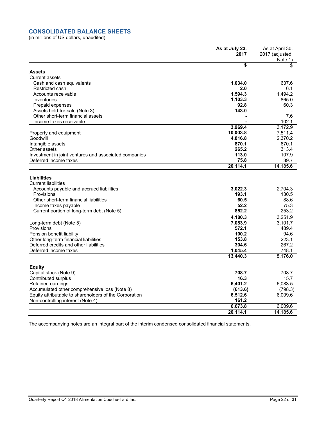#### **CONSOLIDATED BALANCE SHEETS**

(in millions of US dollars, unaudited)

|                                                                                | As at July 23,<br>2017 | As at April 30,<br>2017 (adjusted, |
|--------------------------------------------------------------------------------|------------------------|------------------------------------|
|                                                                                |                        | Note 1)                            |
|                                                                                | \$                     | \$                                 |
| <b>Assets</b>                                                                  |                        |                                    |
| Current assets                                                                 |                        |                                    |
| Cash and cash equivalents                                                      | 1,034.0                | 637.6                              |
| Restricted cash                                                                | 2.0                    | 6.1                                |
| Accounts receivable                                                            | 1,594.3                | 1.494.2                            |
| Inventories                                                                    | 1,103.3                | 865.0                              |
| Prepaid expenses                                                               | 92.8                   | 60.3                               |
| Assets held-for-sale (Note 3)                                                  | 143.0                  |                                    |
| Other short-term financial assets                                              |                        | 7.6                                |
| Income taxes receivable                                                        |                        | 102.1                              |
|                                                                                | 3,969.4                | 3,172.9                            |
| Property and equipment                                                         | 10,003.8               | 7,511.4                            |
| Goodwill                                                                       | 4,816.8                | 2,370.2                            |
| Intangible assets                                                              | 870.1<br>265.2         | 670.1<br>313.4                     |
| Other assets                                                                   | 113.0                  | 107.9                              |
| Investment in joint ventures and associated companies<br>Deferred income taxes | 75.8                   | 39.7                               |
|                                                                                | 20,114.1               | 14.185.6                           |
|                                                                                |                        |                                    |
| <b>Liabilities</b>                                                             |                        |                                    |
| <b>Current liabilities</b>                                                     |                        |                                    |
| Accounts payable and accrued liabilities                                       | 3,022.3                | 2,704.3                            |
| Provisions                                                                     | 193.1                  | 130.5                              |
| Other short-term financial liabilities                                         | 60.5                   | 88.6                               |
| Income taxes payable                                                           | 52.2                   | 75.3                               |
| Current portion of long-term debt (Note 5)                                     | 852.2                  | 253.2                              |
|                                                                                | 4,180.3                | 3,251.9                            |
| Long-term debt (Note 5)                                                        | 7,083.9                | 3,101.7                            |
| Provisions                                                                     | 572.1                  | 489.4                              |
| Pension benefit liability                                                      | 100.2                  | 94.6                               |
| Other long-term financial liabilities                                          | 153.8                  | 223.1                              |
| Deferred credits and other liabilities                                         | 304.6                  | 267.2                              |
| Deferred income taxes                                                          | 1,045.4                | 748.1                              |
|                                                                                | 13,440.3               | 8,176.0                            |
|                                                                                |                        |                                    |
| <b>Equity</b>                                                                  |                        |                                    |
| Capital stock (Note 9)                                                         | 708.7                  | 708.7                              |
| Contributed surplus                                                            | 16.3                   | 15.7                               |
| Retained earnings                                                              | 6,401.2                | 6,083.5                            |
| Accumulated other comprehensive loss (Note 8)                                  | (613.6)                | (798.3)                            |
| Equity attributable to shareholders of the Corporation                         | 6,512.6                | 6,009.6                            |
| Non-controlling interest (Note 4)                                              | 161.2                  |                                    |
|                                                                                | 6,673.8                | 6,009.6                            |
|                                                                                | 20,114.1               | 14,185.6                           |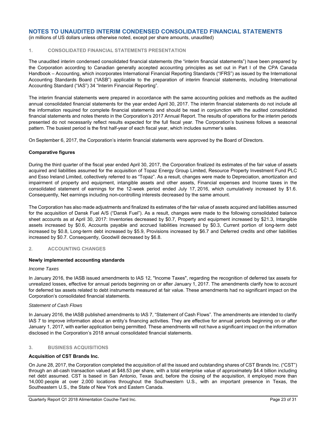(in millions of US dollars unless otherwise noted, except per share amounts, unaudited)

#### **1. CONSOLIDATED FINANCIAL STATEMENTS PRESENTATION**

The unaudited interim condensed consolidated financial statements (the "interim financial statements") have been prepared by the Corporation according to Canadian generally accepted accounting principles as set out in Part I of the CPA Canada Handbook – Accounting, which incorporates International Financial Reporting Standards ("IFRS") as issued by the International Accounting Standards Board ("IASB") applicable to the preparation of interim financial statements, including International Accounting Standard ("IAS") 34 "Interim Financial Reporting".

The interim financial statements were prepared in accordance with the same accounting policies and methods as the audited annual consolidated financial statements for the year ended April 30, 2017. The interim financial statements do not include all the information required for complete financial statements and should be read in conjunction with the audited consolidated financial statements and notes thereto in the Corporation's 2017 Annual Report. The results of operations for the interim periods presented do not necessarily reflect results expected for the full fiscal year. The Corporation's business follows a seasonal pattern. The busiest period is the first half-year of each fiscal year, which includes summer's sales.

On September 6, 2017, the Corporation's interim financial statements were approved by the Board of Directors.

#### **Comparative figures**

During the third quarter of the fiscal year ended April 30, 2017, the Corporation finalized its estimates of the fair value of assets acquired and liabilities assumed for the acquisition of Topaz Energy Group Limited, Resource Property Investment Fund PLC and Esso Ireland Limited, collectively referred to as "Topaz". As a result, changes were made to Depreciation, amortization and impairment of property and equipment, intangible assets and other assets, Financial expenses and Income taxes in the consolidated statement of earnings for the 12-week period ended July 17, 2016, which cumulatively increased by \$1.6. Consequently, Net earnings including non-controlling interests decreased by the same amount.

The Corporation has also made adjustments and finalized its estimates of the fair value of assets acquired and liabilities assumed for the acquisition of Dansk Fuel A/S ("Dansk Fuel"). As a result, changes were made to the following consolidated balance sheet accounts as at April 30, 2017: Inventories decreased by \$0.7, Property and equipment increased by \$21.3, Intangible assets increased by \$0.6, Accounts payable and accrued liabilities increased by \$0.3, Current portion of long-term debt increased by \$0.8, Long-term debt increased by \$5.9, Provisions increased by \$6.7 and Deferred credits and other liabilities increased by \$0.7. Consequently, Goodwill decreased by \$6.8.

#### **2. ACCOUNTING CHANGES**

#### **Newly implemented accounting standards**

#### *Income Taxes*

In January 2016, the IASB issued amendments to IAS 12, "Income Taxes", regarding the recognition of deferred tax assets for unrealized losses, effective for annual periods beginning on or after January 1, 2017. The amendments clarify how to account for deferred tax assets related to debt instruments measured at fair value. These amendments had no significant impact on the Corporation's consolidated financial statements.

#### *Statement of Cash Flows*

In January 2016, the IASB published amendments to IAS 7, "Statement of Cash Flows". The amendments are intended to clarify IAS 7 to improve information about an entity's financing activities. They are effective for annual periods beginning on or after January 1, 2017, with earlier application being permitted. These amendments will not have a significant impact on the information disclosed in the Corporation's 2018 annual consolidated financial statements.

#### **3. BUSINESS ACQUISITIONS**

#### **Acquisition of CST Brands Inc.**

On June 28, 2017, the Corporation completed the acquisition of all the issued and outstanding shares of CST Brands Inc. ("CST") through an all-cash transaction valued at \$48.53 per share, with a total enterprise value of approximately \$4.4 billion including net debt assumed. CST is based in San Antonio, Texas and, before the closing of the acquisition, it employed more than 14,000 people at over 2,000 locations throughout the Southwestern U.S., with an important presence in Texas, the Southeastern U.S., the State of New York and Eastern Canada.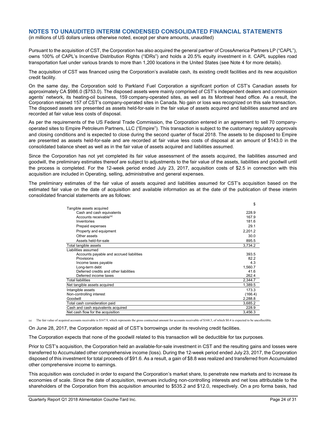(in millions of US dollars unless otherwise noted, except per share amounts, unaudited)

Pursuant to the acquisition of CST, the Corporation has also acquired the general partner of CrossAmerica Partners LP ("CAPL"), owns 100% of CAPL's Incentive Distribution Rights ("IDRs") and holds a 20.5% equity investment in it. CAPL supplies road transportation fuel under various brands to more than 1,200 locations in the United States (see Note 4 for more details).

The acquisition of CST was financed using the Corporation's available cash, its existing credit facilities and its new acquisition credit facility.

On the same day, the Corporation sold to Parkland Fuel Corporation a significant portion of CST's Canadian assets for approximately CA \$986.0 (\$753.0). The disposed assets were mainly comprised of CST's independent dealers and commission agents' network, its heating-oil business, 159 company-operated sites, as well as its Montreal head office. As a result, the Corporation retained 157 of CST's company-operated sites in Canada. No gain or loss was recognized on this sale transaction. The disposed assets are presented as assets held-for-sale in the fair value of assets acquired and liabilities assumed and are recorded at fair value less costs of disposal.

As per the requirements of the US Federal Trade Commission, the Corporation entered in an agreement to sell 70 companyoperated sites to Empire Petroleum Partners, LLC ("Empire"). This transaction is subject to the customary regulatory approvals and closing conditions and is expected to close during the second quarter of fiscal 2018. The assets to be disposed to Empire are presented as assets held-for-sale and are recorded at fair value less costs of disposal at an amount of \$143.0 in the consolidated balance sheet as well as in the fair value of assets acquired and liabilities assumed.

Since the Corporation has not yet completed its fair value assessment of the assets acquired, the liabilities assumed and goodwill, the preliminary estimates thereof are subject to adjustments to the fair value of the assets, liabilities and goodwill until the process is completed. For the 12-week period ended July 23, 2017, acquisition costs of \$2.5 in connection with this acquisition are included in Operating, selling, administrative and general expenses.

The preliminary estimates of the fair value of assets acquired and liabilities assumed for CST's acquisition based on the estimated fair value on the date of acquisition and available information as at the date of the publication of these interim consolidated financial statements are as follows:

|                                          | \$      |
|------------------------------------------|---------|
| Tangible assets acquired                 |         |
| Cash and cash equivalents                | 228.9   |
| Accounts receivable <sup>(a)</sup>       | 167.9   |
| Inventories                              | 181.6   |
| Prepaid expenses                         | 29.1    |
| Property and equipment                   | 2,201.2 |
| Other assets                             | 30.0    |
| Assets held-for-sale                     | 895.5   |
| Total tangible assets                    | 3,734.2 |
| Liabilities assumed                      |         |
| Accounts payable and accrued liabilities | 393.5   |
| Provisions                               | 82.2    |
| Income taxes payable                     | 4.3     |
| Long-term debt                           | 1,560.7 |
| Deferred credits and other liabilities   | 41.6    |
| Deferred income taxes                    | 262.4   |
| Total liabilities                        | 2,344.7 |
| Net tangible assets acquired             | 1,389.5 |
| Intangible assets                        | 173.3   |
| Non-controlling interest                 | (166.4) |
| Goodwill                                 | 2,288.8 |
| Total cash consideration paid            | 3,685.2 |
| Cash and cash equivalents acquired       | 228.9   |
| Net cash flow for the acquisition        | 3,456.3 |

(a) The fair value of acquired accounts receivable is \$167.9, which represents the gross contractual amount for accounts receivable of \$168.3, of which \$0.4 is expected to be uncollectible.

On June 28, 2017, the Corporation repaid all of CST's borrowings under its revolving credit facilities.

The Corporation expects that none of the goodwill related to this transaction will be deductible for tax purposes.

Prior to CST's acquisition, the Corporation held an available-for-sale investment in CST and the resulting gains and losses were transferred to Accumulated other comprehensive income (loss). During the 12-week period ended July 23, 2017, the Corporation disposed of this investment for total proceeds of \$91.6. As a result, a gain of \$8.8 was realized and transferred from Accumulated other comprehensive income to earnings.

This acquisition was concluded in order to expand the Corporation's market share, to penetrate new markets and to increase its economies of scale. Since the date of acquisition, revenues including non-controlling interests and net loss attributable to the shareholders of the Corporation from this acquisition amounted to \$535.2 and \$12.0, respectively. On a pro forma basis, had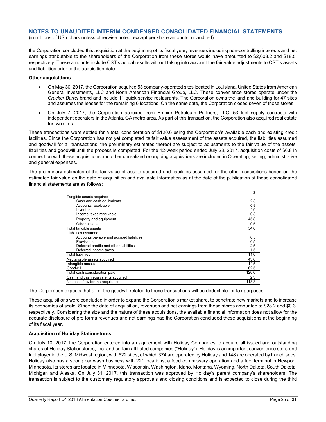(in millions of US dollars unless otherwise noted, except per share amounts, unaudited)

the Corporation concluded this acquisition at the beginning of its fiscal year, revenues including non-controlling interests and net earnings attributable to the shareholders of the Corporation from these stores would have amounted to \$2,008.2 and \$18.5, respectively. These amounts include CST's actual results without taking into account the fair value adjustments to CST's assets and liabilities prior to the acquisition date.

#### **Other acquisitions**

- On May 30, 2017, the Corporation acquired 53 company-operated sites located in Louisiana, United States from American General Investments, LLC and North American Financial Group, LLC. These convenience stores operate under the *Cracker Barrel* brand and include 11 quick service restaurants. The Corporation owns the land and building for 47 sites and assumes the leases for the remaining 6 locations. On the same date, the Corporation closed seven of those stores.
- On July 7, 2017, the Corporation acquired from Empire Petroleum Partners, LLC, 53 fuel supply contracts with independent operators in the Atlanta, GA metro area. As part of this transaction, the Corporation also acquired real estate for two sites.

These transactions were settled for a total consideration of \$120.6 using the Corporation's available cash and existing credit facilities. Since the Corporation has not yet completed its fair value assessment of the assets acquired, the liabilities assumed and goodwill for all transactions, the preliminary estimates thereof are subject to adjustments to the fair value of the assets, liabilities and goodwill until the process is completed. For the 12-week period ended July 23, 2017, acquisition costs of \$0.8 in connection with these acquisitions and other unrealized or ongoing acquisitions are included in Operating, selling, administrative and general expenses.

The preliminary estimates of the fair value of assets acquired and liabilities assumed for the other acquisitions based on the estimated fair value on the date of acquisition and available information as at the date of the publication of these consolidated financial statements are as follows:

|                                          | \$    |
|------------------------------------------|-------|
| Tangible assets acquired                 |       |
| Cash and cash equivalents                | 2.3   |
| Accounts receivable                      | 0.8   |
| Inventories                              | 4.9   |
| Income taxes receivable                  | 0.3   |
| Property and equipment                   | 45.8  |
| Other assets                             | 0.5   |
| Total tangible assets                    | 54.6  |
| Liabilities assumed                      |       |
| Accounts payable and accrued liabilities | 6.5   |
| Provisions                               | 0.5   |
| Deferred credits and other liabilities   | 2.5   |
| Deferred income taxes                    | 1.5   |
| <b>Total liabilities</b>                 | 11.0  |
| Net tangible assets acquired             | 43.6  |
| Intangible assets                        | 14.5  |
| Goodwill                                 | 62.5  |
| Total cash consideration paid            | 120.6 |
| Cash and cash equivalents acquired       | 2.3   |
| Net cash flow for the acquisition        | 118.3 |

The Corporation expects that all of the goodwill related to these transactions will be deductible for tax purposes.

These acquisitions were concluded in order to expand the Corporation's market share, to penetrate new markets and to increase its economies of scale. Since the date of acquisition, revenues and net earnings from these stores amounted to \$28.2 and \$0.3, respectively. Considering the size and the nature of these acquisitions, the available financial information does not allow for the accurate disclosure of pro forma revenues and net earnings had the Corporation concluded these acquisitions at the beginning of its fiscal year.

#### **Acquisition of Holiday Stationstores**

On July 10, 2017, the Corporation entered into an agreement with Holiday Companies to acquire all issued and outstanding shares of Holiday Stationstores, Inc. and certain affiliated companies ("Holiday"). Holiday is an important convenience store and fuel player in the U.S. Midwest region, with 522 sites, of which 374 are operated by Holiday and 148 are operated by franchisees. Holiday also has a strong car wash business with 221 locations, a food commissary operation and a fuel terminal in Newport, Minnesota. Its stores are located in Minnesota, Wisconsin, Washington, Idaho, Montana, Wyoming, North Dakota, South Dakota, Michigan and Alaska. On July 31, 2017, this transaction was approved by Holiday's parent company's shareholders. The transaction is subject to the customary regulatory approvals and closing conditions and is expected to close during the third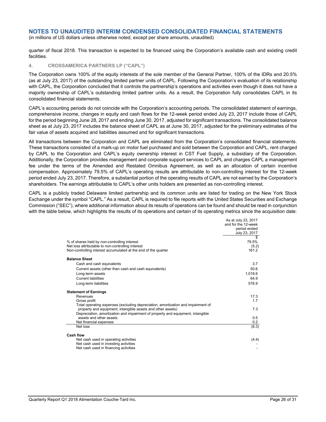(in millions of US dollars unless otherwise noted, except per share amounts, unaudited)

quarter of fiscal 2018. This transaction is expected to be financed using the Corporation's available cash and existing credit facilities.

#### **4. CROSSAMERICA PARTNERS LP ("CAPL")**

The Corporation owns 100% of the equity interests of the sole member of the General Partner, 100% of the IDRs and 20.5% (as at July 23, 2017) of the outstanding limited partner units of CAPL. Following the Corporation's evaluation of its relationship with CAPL, the Corporation concluded that it controls the partnership's operations and activities even though it does not have a majority ownership of CAPL's outstanding limited partner units. As a result, the Corporation fully consolidates CAPL in its consolidated financial statements.

CAPL's accounting periods do not coincide with the Corporation's accounting periods. The consolidated statement of earnings, comprehensive income, changes in equity and cash flows for the 12-week period ended July 23, 2017 include those of CAPL for the period beginning June 28, 2017 and ending June 30, 2017, adjusted for significant transactions. The consolidated balance sheet as at July 23, 2017 includes the balance sheet of CAPL as at June 30, 2017, adjusted for the preliminary estimates of the fair value of assets acquired and liabilities assumed and for significant transactions.

All transactions between the Corporation and CAPL are eliminated from the Corporation's consolidated financial statements. These transactions consisted of a mark-up on motor fuel purchased and sold between the Corporation and CAPL, rent charged by CAPL to the Corporation and CAPL's equity ownership interest in CST Fuel Supply, a subsidiary of the Corporation. Additionally, the Corporation provides management and corporate support services to CAPL and charges CAPL a management fee under the terms of the Amended and Restated Omnibus Agreement, as well as an allocation of certain incentive compensation. Approximately 79.5% of CAPL's operating results are attributable to non-controlling interest for the 12-week period ended July 23, 2017. Therefore, a substantial portion of the operating results of CAPL are not earned by the Corporation's shareholders. The earnings attributable to CAPL's other units holders are presented as non-controlling interest.

CAPL is a publicly traded Delaware limited partnership and its common units are listed for trading on the New York Stock Exchange under the symbol "CAPL." As a result, CAPL is required to file reports with the United States Securities and Exchange Commission ("SEC"), where additional information about its results of operations can be found and should be read in conjunction with the table below, which highlights the results of its operations and certain of its operating metrics since the acquisition date:

|                                                                                  | As at July 23, 2017 |
|----------------------------------------------------------------------------------|---------------------|
|                                                                                  | and for the 12-week |
|                                                                                  | period ended        |
|                                                                                  | July 23, 2017       |
|                                                                                  |                     |
| % of shares held by non-controlling interest                                     | 79.5%               |
| Net loss attributable to non-controlling interest                                | (5.2)               |
| Non-controlling interest accumulated at the end of the quarter                   | 161.2               |
| <b>Balance Sheet</b>                                                             |                     |
| Cash and cash equivalents                                                        | 3.7                 |
| Current assets (other than cash and cash equivalents)                            | 50.6                |
| Long-term assets                                                                 | 1.018.6             |
| <b>Current liabilities</b>                                                       | 64.9                |
| Long-term liabilities                                                            | 576.9               |
| <b>Statement of Earnings</b>                                                     |                     |
| Revenues                                                                         | 17.3                |
| Gross profit                                                                     | 1.7                 |
| Total operating expenses (excluding depreciation, amortization and impairment of |                     |
| property and equipment, intangible assets and other assets)                      | 7.3                 |
| Depreciation, amortization and impairment of property and equipment, intangible  |                     |
| assets and other assets                                                          | 0.5                 |
| Net financial expenses                                                           | 0.2                 |
| Net loss                                                                         | (6.3)               |
| <b>Cash flow</b>                                                                 |                     |
| Net cash used in operating activities                                            | (4.4)               |
| Net cash used in investing activities                                            |                     |
| Net cash used in financing activities                                            |                     |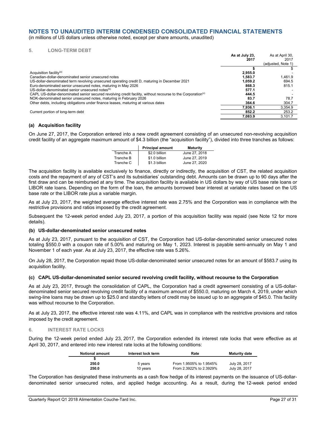(in millions of US dollars unless otherwise noted, except per share amounts, unaudited)

#### **5. LONG-TERM DEBT**

|                                                                                                                         | As at July 23.<br>2017 | As at April 30,<br>2017<br>(adiusted, Note 1) |
|-------------------------------------------------------------------------------------------------------------------------|------------------------|-----------------------------------------------|
|                                                                                                                         |                        |                                               |
| Acquisition facility <sup>(a)</sup>                                                                                     | 2.955.0                |                                               |
| Canadian-dollar-denominated senior unsecured notes                                                                      | 1.583.7                | 1.461.9                                       |
| US-dollar-denominated term revolving unsecured operating credit D, maturing in December 2021                            | 1.059.2                | 694.5                                         |
| Euro-denominated senior unsecured notes, maturing in May 2026                                                           | 868.3                  | 815.1                                         |
| US-dollar-denominated senior unsecured notes <sup>(b)</sup>                                                             | 577.1                  |                                               |
| CAPL US-dollar-denominated senior secured revolving credit facility, without recourse to the Corporation <sup>(c)</sup> | 444.5                  |                                               |
| NOK-denominated senior unsecured notes, maturing in February 2026                                                       | 83.7                   | 78.7                                          |
| Other debts, including obligations under finance leases, maturing at various dates                                      | 364.6                  | 304.7                                         |
|                                                                                                                         | 7.936.1                | 3.354.9                                       |
| Current portion of long-term debt                                                                                       | 852.2                  | 253.2                                         |
|                                                                                                                         | 7.083.9                | 3.101.7                                       |

#### **(a) Acquisition facility**

On June 27, 2017, the Corporation entered into a new credit agreement consisting of an unsecured non-revolving acquisition credit facility of an aggregate maximum amount of \$4.3 billion (the "acquisition facility"), divided into three tranches as follows:

|           | <b>Principal amount</b> | <b>Maturity</b> |
|-----------|-------------------------|-----------------|
| Tranche A | \$2.0 billion           | June 27, 2018   |
| Tranche B | \$1.0 billion           | June 27, 2019   |
| Tranche C | \$1.3 billion           | June 27, 2020   |

The acquisition facility is available exclusively to finance, directly or indirectly, the acquisition of CST, the related acquisition costs and the repayment of any of CST's and its subsidiaries' outstanding debt. Amounts can be drawn up to 90 days after the first draw and can be reimbursed at any time. The acquisition facility is available in US dollars by way of US base rate loans or LIBOR rate loans. Depending on the form of the loan, the amounts borrowed bear interest at variable rates based on the US base rate or the LIBOR rate plus a variable margin.

As at July 23, 2017, the weighted average effective interest rate was 2.75% and the Corporation was in compliance with the restrictive provisions and ratios imposed by the credit agreement.

Subsequent the 12-week period ended July 23, 2017, a portion of this acquisition facility was repaid (see Note 12 for more details).

#### **(b) US-dollar-denominated senior unsecured notes**

As at July 23, 2017, pursuant to the acquisition of CST, the Corporation had US-dollar-denominated senior unsecured notes totaling \$550.0 with a coupon rate of 5.00% and maturing on May 1, 2023. Interest is payable semi-annually on May 1 and November 1 of each year. As at July 23, 2017, the effective rate was 5.26%.

On July 28, 2017, the Corporation repaid those US-dollar-denominated senior unsecured notes for an amount of \$583.7 using its acquisition facility.

#### **(c) CAPL US-dollar-denominated senior secured revolving credit facility, without recourse to the Corporation**

As at July 23, 2017, through the consolidation of CAPL, the Corporation had a credit agreement consisting of a US-dollardenominated senior secured revolving credit facility of a maximum amount of \$550.0, maturing on March 4, 2019, under which swing-line loans may be drawn up to \$25.0 and standby letters of credit may be issued up to an aggregate of \$45.0. This facility was without recourse to the Corporation.

As at July 23, 2017, the effective interest rate was 4.11%, and CAPL was in compliance with the restrictive provisions and ratios imposed by the credit agreement.

#### **6. INTEREST RATE LOCKS**

During the 12-week period ended July 23, 2017, the Corporation extended its interest rate locks that were effective as at April 30, 2017, and entered into new interest rate locks at the following conditions:

| <b>Notional amount</b> | Interest lock term | Rate                    | <b>Maturity date</b> |
|------------------------|--------------------|-------------------------|----------------------|
|                        |                    |                         |                      |
| 250.0                  | 5 vears            | From 1.9505% to 1.9545% | July 28, 2017        |
| 250.0                  | 10 years           | From 2.3922% to 2.3929% | July 28, 2017        |

The Corporation has designated these instruments as a cash flow hedge of its interest payments on the issuance of US-dollardenominated senior unsecured notes, and applied hedge accounting. As a result, during the 12-week period ended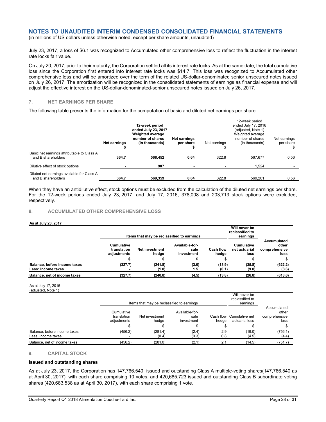(in millions of US dollars unless otherwise noted, except per share amounts, unaudited)

July 23, 2017, a loss of \$6.1 was recognized to Accumulated other comprehensive loss to reflect the fluctuation in the interest rate locks fair value.

On July 20, 2017, prior to their maturity, the Corporation settled all its interest rate locks. As at the same date, the total cumulative loss since the Corporation first entered into interest rate locks was \$14.7. This loss was recognized to Accumulated other comprehensive loss and will be amortized over the term of the related US-dollar-denominated senior unsecured notes issued on July 26, 2017. The amortization will be recognized in the consolidated statements of earnings as financial expense and will adjust the effective interest on the US-dollar-denominated-senior unsecured notes issued on July 26, 2017.

#### **7. NET EARNINGS PER SHARE**

The following table presents the information for the computation of basic and diluted net earnings per share:

| 12-week period |                         |              |              |                     |              |  |
|----------------|-------------------------|--------------|--------------|---------------------|--------------|--|
| 12-week period |                         |              |              | ended July 17, 2016 |              |  |
|                | ended July 23, 2017     |              |              | (adjusted, Note 1)  |              |  |
|                | <b>Weighted average</b> |              |              | Weighted average    |              |  |
|                | number of shares        | Net earnings |              | number of shares    | Net earnings |  |
| Net earnings   | (in thousands)          | per share    | Net earnings | (in thousands)      | per share    |  |
|                |                         |              |              |                     |              |  |
| 364.7          | 568.452                 | 0.64         | 322.8        | 567.677             | 0.56         |  |
|                | 907                     |              |              | 1.524               |              |  |
| 364.7          | 569,359                 | 0.64         | 322.8        | 569.201             | 0.56         |  |
|                |                         |              |              |                     |              |  |

When they have an antidilutive effect, stock options must be excluded from the calculation of the diluted net earnings per share. For the 12-week periods ended July 23, 2017, and July 17, 2016, 378,008 and 203,713 stock options were excluded, respectively.

#### **8. ACCUMULATED OTHER COMPREHENSIVE LOSS**

#### **As at July 23, 2017**

|                                                    |                                                 | Items that may be reclassified to earnings |                                                            |                 | Will never be<br>reclassified to<br>earnings |                                               |  |
|----------------------------------------------------|-------------------------------------------------|--------------------------------------------|------------------------------------------------------------|-----------------|----------------------------------------------|-----------------------------------------------|--|
|                                                    | <b>Cumulative</b><br>translation<br>adiustments | <b>Net investment</b><br>hedge             | Available-for-<br>Cash flow<br>sale<br>hedae<br>investment |                 | <b>Cumulative</b><br>net actuarial<br>loss   | Accumulated<br>other<br>comprehensive<br>loss |  |
|                                                    |                                                 |                                            |                                                            |                 |                                              |                                               |  |
| Balance, before income taxes<br>Less: Income taxes | (327.7)                                         | (241.8)<br>(1.0)                           | (3.0)<br>1.5                                               | (13.9)<br>(0.1) | (35.8)<br>(9.0)                              | (622.2)<br>(8.6)                              |  |
| Balance, net of income taxes                       | (327.7)                                         | (240.8)                                    | (4.5)                                                      | (13.8)          | (26.8)                                       | (613.6)                                       |  |

#### As at July 17, 2016 (adjusted, Note 1)

|                                                    |                                                                     | Items that may be reclassified to earnings | Will never be<br>reclassified to<br>earnings  |            |                                            |                                               |
|----------------------------------------------------|---------------------------------------------------------------------|--------------------------------------------|-----------------------------------------------|------------|--------------------------------------------|-----------------------------------------------|
|                                                    | Cumulative<br>translation<br>Net investment<br>adiustments<br>hedae |                                            | Available-for-<br>sale<br>investment<br>hedae |            | Cash flow Cumulative net<br>actuarial loss | Accumulated<br>other<br>comprehensive<br>loss |
|                                                    |                                                                     |                                            |                                               |            |                                            |                                               |
| Balance, before income taxes<br>Less: Income taxes | (456.2)                                                             | (281.4)<br>(0.4)                           | (2.4)<br>(0.3)                                | 2.9<br>0.8 | (19.0)<br>(4.5)                            | (756.1)<br>(4.4)                              |
| Balance, net of income taxes                       | (456.2)                                                             | (281.0)                                    | (2.1)                                         | 2.1        | (14.5)                                     | (751.7)                                       |

#### **9. CAPITAL STOCK**

#### **Issued and outstanding shares**

As at July 23, 2017, the Corporation has 147,766,540 issued and outstanding Class A multiple-voting shares(147,766,540 as at April 30, 2017), with each share comprising 10 votes, and 420,685,723 issued and outstanding Class B subordinate voting shares (420,683,538 as at April 30, 2017), with each share comprising 1 vote.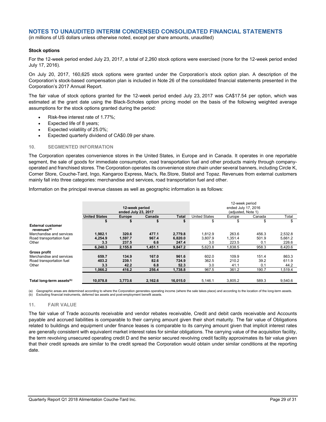(in millions of US dollars unless otherwise noted, except per share amounts, unaudited)

#### **Stock options**

For the 12-week period ended July 23, 2017, a total of 2,260 stock options were exercised (none for the 12-week period ended July 17, 2016).

On July 20, 2017, 160,625 stock options were granted under the Corporation's stock option plan. A description of the Corporation's stock-based compensation plan is included in Note 26 of the consolidated financial statements presented in the Corporation's 2017 Annual Report.

The fair value of stock options granted for the 12-week period ended July 23, 2017 was CA\$17.54 per option, which was estimated at the grant date using the Black-Scholes option pricing model on the basis of the following weighted average assumptions for the stock options granted during the period:

- Risk-free interest rate of 1.77%;
- Expected life of 8 years;
- Expected volatility of 25.0%;
- Expected quarterly dividend of CA\$0.09 per share.

#### **10. SEGMENTED INFORMATION**

The Corporation operates convenience stores in the United States, in Europe and in Canada. It operates in one reportable segment, the sale of goods for immediate consumption, road transportation fuel and other products mainly through companyoperated and franchised stores. The Corporation operates its convenience store chain under several banners, including Circle K, Corner Store, Couche-Tard, Ingo, Kangaroo Express, Mac's, Re.Store, Statoil and Topaz. Revenues from external customers mainly fall into three categories: merchandise and services, road transportation fuel and other.

Information on the principal revenue classes as well as geographic information is as follows:

|                                                     | 12-week period<br>ended July 23, 2017 |               |         |              |                      |         |        |         |
|-----------------------------------------------------|---------------------------------------|---------------|---------|--------------|----------------------|---------|--------|---------|
|                                                     | <b>United States</b>                  | <b>Europe</b> | Canada  | <b>Total</b> | <b>United States</b> | Europe  | Canada | Total   |
|                                                     |                                       |               |         |              | \$                   | \$      | \$     | \$      |
| <b>External customer</b><br>revenues <sup>(a)</sup> |                                       |               |         |              |                      |         |        |         |
| Merchandise and services                            | 1.982.1                               | 320.6         | 477.1   | 2.779.8      | 1.812.9              | 263.6   | 456.3  | 2.532.8 |
| Road transportation fuel                            | 4,254.9                               | 1,597.7       | 967.4   | 6,820.0      | 3.807.9              | 1,351.4 | 501.9  | 5.661.2 |
| Other                                               | 3.3                                   | 237.5         | 6.6     | 247.4        | 3.0                  | 223.5   | 0.1    | 226.6   |
|                                                     | 6,240.3                               | 2,155.8       | 1,451.1 | 9,847.2      | 5,623.8              | 1,838.5 | 958.3  | 8,420.6 |
| <b>Gross profit</b>                                 |                                       |               |         |              |                      |         |        |         |
| Merchandise and services                            | 659.7                                 | 134.9         | 167.0   | 961.6        | 602.0                | 109.9   | 151.4  | 863.3   |
| Road transportation fuel                            | 403.2                                 | 239.1         | 82.6    | 724.9        | 362.5                | 210.2   | 39.2   | 611.9   |
| Other                                               | 3.3                                   | 42.2          | 6.8     | 52.3         | 3.0                  | 41.1    | 0.1    | 44.2    |
|                                                     | 1,066.2                               | 416.2         | 256.4   | 1,738.8      | 967.5                | 361.2   | 190.7  | 1,519.4 |
|                                                     |                                       |               |         |              |                      |         |        |         |
| Total long-term assets <sup>(b)</sup>               | 10.078.8                              | 3.773.6       | 2.162.6 | 16,015.0     | 5,146.1              | 3.805.2 | 589.3  | 9,540.6 |

(a) Geographic areas are determined according to where the Corporation generates operating income (where the sale takes place) and according to the location of the long-term assets. (b) Excluding financial instruments, deferred tax assets and post-employment benefit assets.

#### **11. FAIR VALUE**

The fair value of Trade accounts receivable and vendor rebates receivable, Credit and debit cards receivable and Accounts payable and accrued liabilities is comparable to their carrying amount given their short maturity. The fair value of Obligations related to buildings and equipment under finance leases is comparable to its carrying amount given that implicit interest rates are generally consistent with equivalent market interest rates for similar obligations. The carrying value of the acquisition facility, the term revolving unsecured operating credit D and the senior secured revolving credit facility approximates its fair value given that their credit spreads are similar to the credit spread the Corporation would obtain under similar conditions at the reporting date.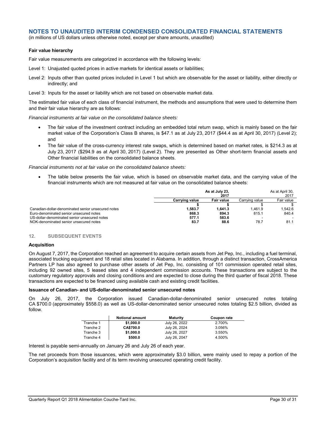(in millions of US dollars unless otherwise noted, except per share amounts, unaudited)

#### **Fair value hierarchy**

Fair value measurements are categorized in accordance with the following levels:

- Level 1: Unajusted quoted prices in active markets for identical assets or liabilities;
- Level 2: Inputs other than quoted prices included in Level 1 but which are observable for the asset or liability, either directly or indirectly; and

Level 3: Inputs for the asset or liability which are not based on observable market data.

The estimated fair value of each class of financial instrument, the methods and assumptions that were used to determine them and their fair value hierarchy are as follows:

*Financial instruments at fair value on the consolidated balance sheets:* 

- The fair value of the investment contract including an embedded total return swap, which is mainly based on the fair market value of the Corporation's Class B shares, is \$47.1 as at July 23, 2017 (\$44.4 as at April 30, 2017) (Level 2); and
- The fair value of the cross-currency interest rate swaps, which is determined based on market rates, is \$214.3 as at July 23, 2017 (\$294.9 as at April 30, 2017) (Level 2). They are presented as Other short-term financial assets and Other financial liabilities on the consolidated balance sheets.

*Financial instruments not at fair value on the consolidated balance sheets:* 

 The table below presents the fair value, which is based on observable market data, and the carrying value of the financial instruments which are not measured at fair value on the consolidated balance sheets:

|                                                    |                | As at July 23,<br>2017 |                | As at April 30,<br>2017 |
|----------------------------------------------------|----------------|------------------------|----------------|-------------------------|
|                                                    | Carrving value | <b>Fair value</b>      | Carrving value | Fair value              |
|                                                    |                |                        |                |                         |
| Canadian-dollar-denominated senior unsecured notes | 1.583.7        | 1.641.3                | 1.461.9        | 1.542.6                 |
| Euro-denominated senior unsecured notes            | 868.3          | 894.3                  | 815.1          | 840.4                   |
| US-dollar-denominated senior unsecured notes       | 577.1          | 583.6                  |                |                         |
| NOK-denominated senior unsecured notes             | 83.7           | 88.6                   | 78.7           | 81.7                    |

#### **12. SUBSEQUENT EVENTS**

#### **Acquisition**

On August 7, 2017, the Corporation reached an agreement to acquire certain assets from Jet Pep, Inc., including a fuel terminal, associated trucking equipment and 18 retail sites located in Alabama. In addition, through a distinct transaction, CrossAmerica Partners LP has also agreed to purchase other assets of Jet Pep, Inc. consisting of 101 commission operated retail sites, including 92 owned sites, 5 leased sites and 4 independent commission accounts. These transactions are subject to the customary regulatory approvals and closing conditions and are expected to close during the third quarter of fiscal 2018. These transactions are expected to be financed using available cash and existing credit facilities.

#### **Issuance of Canadian- and US-dollar-denominated senior unsecured notes**

On July 26, 2017, the Corporation issued Canadian-dollar-denominated senior unsecured notes totaling CA \$700.0 (approximately \$558.0) as well as US-dollar-denominated senior unsecured notes totaling \$2.5 billion, divided as follow.

|           | <b>Notional amount</b> | <b>Maturity</b> | Coupon rate |
|-----------|------------------------|-----------------|-------------|
| Tranche 1 | \$1,000.0              | July 26, 2022   | 2.700%      |
| Tranche 2 | <b>CA\$700.0</b>       | July 26, 2024   | 3.056%      |
| Tranche 3 | \$1,000.0              | July 26, 2027   | 3.550%      |
| Tranche 4 | \$500.0                | July 26, 2047   | 4.500%      |

Interest is payable semi-annually on January 26 and July 26 of each year.

The net proceeds from those issuances, which were approximately \$3.0 billion, were mainly used to repay a portion of the Corporation's acquisition facility and of its term revolving unsecured operating credit facility.